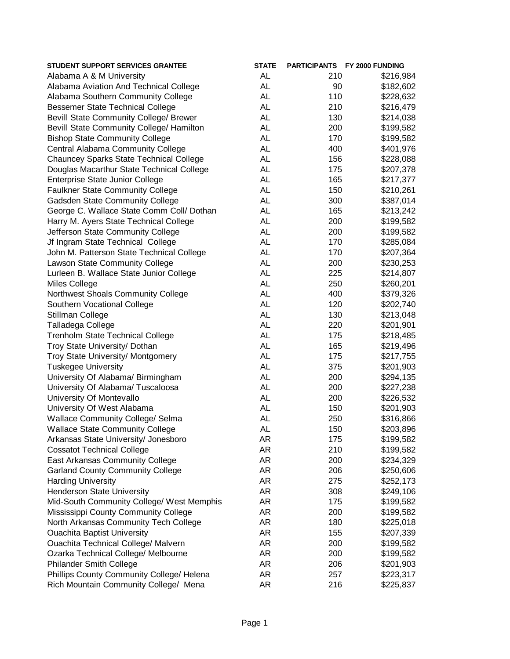| <b>AL</b><br>Alabama A & M University<br>210<br>\$216,984<br><b>AL</b><br>Alabama Aviation And Technical College<br>90<br>\$182,602<br><b>AL</b><br>110<br>Alabama Southern Community College<br>\$228,632<br><b>Bessemer State Technical College</b><br><b>AL</b><br>210<br>\$216,479<br><b>AL</b><br><b>Bevill State Community College/ Brewer</b><br>130<br>\$214,038<br><b>AL</b><br>Bevill State Community College/ Hamilton<br>200<br>\$199,582<br>AL<br>170<br><b>Bishop State Community College</b><br>\$199,582<br><b>AL</b><br>Central Alabama Community College<br>400<br>\$401,976<br><b>Chauncey Sparks State Technical College</b><br><b>AL</b><br>156<br>\$228,088<br><b>AL</b><br>Douglas Macarthur State Technical College<br>175<br>\$207,378<br><b>AL</b><br>Enterprise State Junior College<br>165<br>\$217,377<br>AL<br><b>Faulkner State Community College</b><br>150<br>\$210,261<br><b>AL</b><br><b>Gadsden State Community College</b><br>300<br>\$387,014<br>AL<br>George C. Wallace State Comm Coll/ Dothan<br>165<br>\$213,242<br>AL<br>Harry M. Ayers State Technical College<br>200<br>\$199,582<br>AL<br>200<br>Jefferson State Community College<br>\$199,582<br><b>AL</b><br>Jf Ingram State Technical College<br>170<br>\$285,084<br><b>AL</b><br>John M. Patterson State Technical College<br>170<br>\$207,364<br>AL<br>Lawson State Community College<br>200<br>\$230,253<br><b>AL</b><br>Lurleen B. Wallace State Junior College<br>225<br>\$214,807<br>AL<br>250<br><b>Miles College</b><br>\$260,201<br>AL<br>400<br>Northwest Shoals Community College<br>\$379,326<br><b>AL</b><br>Southern Vocational College<br>120<br>\$202,740<br><b>AL</b><br>Stillman College<br>130<br>\$213,048<br><b>AL</b><br>Talladega College<br>220<br>\$201,901<br>Trenholm State Technical College<br><b>AL</b><br>175<br>\$218,485<br><b>AL</b><br>Troy State University/ Dothan<br>165<br>\$219,496<br><b>AL</b><br>Troy State University/ Montgomery<br>175<br>\$217,755<br><b>Tuskegee University</b><br><b>AL</b><br>375<br>\$201,903<br><b>AL</b><br>200<br>University Of Alabama/ Birmingham<br>\$294,135<br><b>AL</b><br>University Of Alabama/ Tuscaloosa<br>200<br>\$227,238<br>AL<br>University Of Montevallo<br>200<br>\$226,532<br><b>AL</b><br>University Of West Alabama<br>150<br>\$201,903<br><b>AL</b><br><b>Wallace Community College/ Selma</b><br>250<br>\$316,866<br><b>AL</b><br><b>Wallace State Community College</b><br>150<br>\$203,896<br>AR<br>Arkansas State University/ Jonesboro<br>175<br>\$199,582<br>AR<br><b>Cossatot Technical College</b><br>210<br>\$199,582<br>AR<br>East Arkansas Community College<br>200<br>\$234,329<br>AR<br>206<br><b>Garland County Community College</b><br>\$250,606<br>AR<br><b>Harding University</b><br>275<br>\$252,173<br>AR<br>Henderson State University<br>308<br>\$249,106<br>AR<br>Mid-South Community College/ West Memphis<br>175<br>\$199,582<br>AR<br>Mississippi County Community College<br>200<br>\$199,582<br>AR<br>North Arkansas Community Tech College<br>180<br>\$225,018<br>AR<br><b>Ouachita Baptist University</b><br>155<br>\$207,339<br>AR<br><b>Ouachita Technical College/ Malvern</b><br>200<br>\$199,582<br>AR<br>Ozarka Technical College/ Melbourne<br>200<br>\$199,582<br>AR<br><b>Philander Smith College</b><br>206<br>\$201,903<br>AR<br>Phillips County Community College/ Helena<br>257<br>\$223,317<br>Rich Mountain Community College/ Mena<br>AR<br>216<br>\$225,837 | <b>STUDENT SUPPORT SERVICES GRANTEE</b> | <b>STATE</b> | PARTICIPANTS FY 2000 FUNDING |
|---------------------------------------------------------------------------------------------------------------------------------------------------------------------------------------------------------------------------------------------------------------------------------------------------------------------------------------------------------------------------------------------------------------------------------------------------------------------------------------------------------------------------------------------------------------------------------------------------------------------------------------------------------------------------------------------------------------------------------------------------------------------------------------------------------------------------------------------------------------------------------------------------------------------------------------------------------------------------------------------------------------------------------------------------------------------------------------------------------------------------------------------------------------------------------------------------------------------------------------------------------------------------------------------------------------------------------------------------------------------------------------------------------------------------------------------------------------------------------------------------------------------------------------------------------------------------------------------------------------------------------------------------------------------------------------------------------------------------------------------------------------------------------------------------------------------------------------------------------------------------------------------------------------------------------------------------------------------------------------------------------------------------------------------------------------------------------------------------------------------------------------------------------------------------------------------------------------------------------------------------------------------------------------------------------------------------------------------------------------------------------------------------------------------------------------------------------------------------------------------------------------------------------------------------------------------------------------------------------------------------------------------------------------------------------------------------------------------------------------------------------------------------------------------------------------------------------------------------------------------------------------------------------------------------------------------------------------------------------------------------------------------------------------------------------------------------------------------------------------------------------------------------------------------------------------------------------------------------------------------------------------------------------------------------------------------------------------------------------------------------------------------------------------------------------------------------------------------------------------------------------|-----------------------------------------|--------------|------------------------------|
|                                                                                                                                                                                                                                                                                                                                                                                                                                                                                                                                                                                                                                                                                                                                                                                                                                                                                                                                                                                                                                                                                                                                                                                                                                                                                                                                                                                                                                                                                                                                                                                                                                                                                                                                                                                                                                                                                                                                                                                                                                                                                                                                                                                                                                                                                                                                                                                                                                                                                                                                                                                                                                                                                                                                                                                                                                                                                                                                                                                                                                                                                                                                                                                                                                                                                                                                                                                                                                                                                                         |                                         |              |                              |
|                                                                                                                                                                                                                                                                                                                                                                                                                                                                                                                                                                                                                                                                                                                                                                                                                                                                                                                                                                                                                                                                                                                                                                                                                                                                                                                                                                                                                                                                                                                                                                                                                                                                                                                                                                                                                                                                                                                                                                                                                                                                                                                                                                                                                                                                                                                                                                                                                                                                                                                                                                                                                                                                                                                                                                                                                                                                                                                                                                                                                                                                                                                                                                                                                                                                                                                                                                                                                                                                                                         |                                         |              |                              |
|                                                                                                                                                                                                                                                                                                                                                                                                                                                                                                                                                                                                                                                                                                                                                                                                                                                                                                                                                                                                                                                                                                                                                                                                                                                                                                                                                                                                                                                                                                                                                                                                                                                                                                                                                                                                                                                                                                                                                                                                                                                                                                                                                                                                                                                                                                                                                                                                                                                                                                                                                                                                                                                                                                                                                                                                                                                                                                                                                                                                                                                                                                                                                                                                                                                                                                                                                                                                                                                                                                         |                                         |              |                              |
|                                                                                                                                                                                                                                                                                                                                                                                                                                                                                                                                                                                                                                                                                                                                                                                                                                                                                                                                                                                                                                                                                                                                                                                                                                                                                                                                                                                                                                                                                                                                                                                                                                                                                                                                                                                                                                                                                                                                                                                                                                                                                                                                                                                                                                                                                                                                                                                                                                                                                                                                                                                                                                                                                                                                                                                                                                                                                                                                                                                                                                                                                                                                                                                                                                                                                                                                                                                                                                                                                                         |                                         |              |                              |
|                                                                                                                                                                                                                                                                                                                                                                                                                                                                                                                                                                                                                                                                                                                                                                                                                                                                                                                                                                                                                                                                                                                                                                                                                                                                                                                                                                                                                                                                                                                                                                                                                                                                                                                                                                                                                                                                                                                                                                                                                                                                                                                                                                                                                                                                                                                                                                                                                                                                                                                                                                                                                                                                                                                                                                                                                                                                                                                                                                                                                                                                                                                                                                                                                                                                                                                                                                                                                                                                                                         |                                         |              |                              |
|                                                                                                                                                                                                                                                                                                                                                                                                                                                                                                                                                                                                                                                                                                                                                                                                                                                                                                                                                                                                                                                                                                                                                                                                                                                                                                                                                                                                                                                                                                                                                                                                                                                                                                                                                                                                                                                                                                                                                                                                                                                                                                                                                                                                                                                                                                                                                                                                                                                                                                                                                                                                                                                                                                                                                                                                                                                                                                                                                                                                                                                                                                                                                                                                                                                                                                                                                                                                                                                                                                         |                                         |              |                              |
|                                                                                                                                                                                                                                                                                                                                                                                                                                                                                                                                                                                                                                                                                                                                                                                                                                                                                                                                                                                                                                                                                                                                                                                                                                                                                                                                                                                                                                                                                                                                                                                                                                                                                                                                                                                                                                                                                                                                                                                                                                                                                                                                                                                                                                                                                                                                                                                                                                                                                                                                                                                                                                                                                                                                                                                                                                                                                                                                                                                                                                                                                                                                                                                                                                                                                                                                                                                                                                                                                                         |                                         |              |                              |
|                                                                                                                                                                                                                                                                                                                                                                                                                                                                                                                                                                                                                                                                                                                                                                                                                                                                                                                                                                                                                                                                                                                                                                                                                                                                                                                                                                                                                                                                                                                                                                                                                                                                                                                                                                                                                                                                                                                                                                                                                                                                                                                                                                                                                                                                                                                                                                                                                                                                                                                                                                                                                                                                                                                                                                                                                                                                                                                                                                                                                                                                                                                                                                                                                                                                                                                                                                                                                                                                                                         |                                         |              |                              |
|                                                                                                                                                                                                                                                                                                                                                                                                                                                                                                                                                                                                                                                                                                                                                                                                                                                                                                                                                                                                                                                                                                                                                                                                                                                                                                                                                                                                                                                                                                                                                                                                                                                                                                                                                                                                                                                                                                                                                                                                                                                                                                                                                                                                                                                                                                                                                                                                                                                                                                                                                                                                                                                                                                                                                                                                                                                                                                                                                                                                                                                                                                                                                                                                                                                                                                                                                                                                                                                                                                         |                                         |              |                              |
|                                                                                                                                                                                                                                                                                                                                                                                                                                                                                                                                                                                                                                                                                                                                                                                                                                                                                                                                                                                                                                                                                                                                                                                                                                                                                                                                                                                                                                                                                                                                                                                                                                                                                                                                                                                                                                                                                                                                                                                                                                                                                                                                                                                                                                                                                                                                                                                                                                                                                                                                                                                                                                                                                                                                                                                                                                                                                                                                                                                                                                                                                                                                                                                                                                                                                                                                                                                                                                                                                                         |                                         |              |                              |
|                                                                                                                                                                                                                                                                                                                                                                                                                                                                                                                                                                                                                                                                                                                                                                                                                                                                                                                                                                                                                                                                                                                                                                                                                                                                                                                                                                                                                                                                                                                                                                                                                                                                                                                                                                                                                                                                                                                                                                                                                                                                                                                                                                                                                                                                                                                                                                                                                                                                                                                                                                                                                                                                                                                                                                                                                                                                                                                                                                                                                                                                                                                                                                                                                                                                                                                                                                                                                                                                                                         |                                         |              |                              |
|                                                                                                                                                                                                                                                                                                                                                                                                                                                                                                                                                                                                                                                                                                                                                                                                                                                                                                                                                                                                                                                                                                                                                                                                                                                                                                                                                                                                                                                                                                                                                                                                                                                                                                                                                                                                                                                                                                                                                                                                                                                                                                                                                                                                                                                                                                                                                                                                                                                                                                                                                                                                                                                                                                                                                                                                                                                                                                                                                                                                                                                                                                                                                                                                                                                                                                                                                                                                                                                                                                         |                                         |              |                              |
|                                                                                                                                                                                                                                                                                                                                                                                                                                                                                                                                                                                                                                                                                                                                                                                                                                                                                                                                                                                                                                                                                                                                                                                                                                                                                                                                                                                                                                                                                                                                                                                                                                                                                                                                                                                                                                                                                                                                                                                                                                                                                                                                                                                                                                                                                                                                                                                                                                                                                                                                                                                                                                                                                                                                                                                                                                                                                                                                                                                                                                                                                                                                                                                                                                                                                                                                                                                                                                                                                                         |                                         |              |                              |
|                                                                                                                                                                                                                                                                                                                                                                                                                                                                                                                                                                                                                                                                                                                                                                                                                                                                                                                                                                                                                                                                                                                                                                                                                                                                                                                                                                                                                                                                                                                                                                                                                                                                                                                                                                                                                                                                                                                                                                                                                                                                                                                                                                                                                                                                                                                                                                                                                                                                                                                                                                                                                                                                                                                                                                                                                                                                                                                                                                                                                                                                                                                                                                                                                                                                                                                                                                                                                                                                                                         |                                         |              |                              |
|                                                                                                                                                                                                                                                                                                                                                                                                                                                                                                                                                                                                                                                                                                                                                                                                                                                                                                                                                                                                                                                                                                                                                                                                                                                                                                                                                                                                                                                                                                                                                                                                                                                                                                                                                                                                                                                                                                                                                                                                                                                                                                                                                                                                                                                                                                                                                                                                                                                                                                                                                                                                                                                                                                                                                                                                                                                                                                                                                                                                                                                                                                                                                                                                                                                                                                                                                                                                                                                                                                         |                                         |              |                              |
|                                                                                                                                                                                                                                                                                                                                                                                                                                                                                                                                                                                                                                                                                                                                                                                                                                                                                                                                                                                                                                                                                                                                                                                                                                                                                                                                                                                                                                                                                                                                                                                                                                                                                                                                                                                                                                                                                                                                                                                                                                                                                                                                                                                                                                                                                                                                                                                                                                                                                                                                                                                                                                                                                                                                                                                                                                                                                                                                                                                                                                                                                                                                                                                                                                                                                                                                                                                                                                                                                                         |                                         |              |                              |
|                                                                                                                                                                                                                                                                                                                                                                                                                                                                                                                                                                                                                                                                                                                                                                                                                                                                                                                                                                                                                                                                                                                                                                                                                                                                                                                                                                                                                                                                                                                                                                                                                                                                                                                                                                                                                                                                                                                                                                                                                                                                                                                                                                                                                                                                                                                                                                                                                                                                                                                                                                                                                                                                                                                                                                                                                                                                                                                                                                                                                                                                                                                                                                                                                                                                                                                                                                                                                                                                                                         |                                         |              |                              |
|                                                                                                                                                                                                                                                                                                                                                                                                                                                                                                                                                                                                                                                                                                                                                                                                                                                                                                                                                                                                                                                                                                                                                                                                                                                                                                                                                                                                                                                                                                                                                                                                                                                                                                                                                                                                                                                                                                                                                                                                                                                                                                                                                                                                                                                                                                                                                                                                                                                                                                                                                                                                                                                                                                                                                                                                                                                                                                                                                                                                                                                                                                                                                                                                                                                                                                                                                                                                                                                                                                         |                                         |              |                              |
|                                                                                                                                                                                                                                                                                                                                                                                                                                                                                                                                                                                                                                                                                                                                                                                                                                                                                                                                                                                                                                                                                                                                                                                                                                                                                                                                                                                                                                                                                                                                                                                                                                                                                                                                                                                                                                                                                                                                                                                                                                                                                                                                                                                                                                                                                                                                                                                                                                                                                                                                                                                                                                                                                                                                                                                                                                                                                                                                                                                                                                                                                                                                                                                                                                                                                                                                                                                                                                                                                                         |                                         |              |                              |
|                                                                                                                                                                                                                                                                                                                                                                                                                                                                                                                                                                                                                                                                                                                                                                                                                                                                                                                                                                                                                                                                                                                                                                                                                                                                                                                                                                                                                                                                                                                                                                                                                                                                                                                                                                                                                                                                                                                                                                                                                                                                                                                                                                                                                                                                                                                                                                                                                                                                                                                                                                                                                                                                                                                                                                                                                                                                                                                                                                                                                                                                                                                                                                                                                                                                                                                                                                                                                                                                                                         |                                         |              |                              |
|                                                                                                                                                                                                                                                                                                                                                                                                                                                                                                                                                                                                                                                                                                                                                                                                                                                                                                                                                                                                                                                                                                                                                                                                                                                                                                                                                                                                                                                                                                                                                                                                                                                                                                                                                                                                                                                                                                                                                                                                                                                                                                                                                                                                                                                                                                                                                                                                                                                                                                                                                                                                                                                                                                                                                                                                                                                                                                                                                                                                                                                                                                                                                                                                                                                                                                                                                                                                                                                                                                         |                                         |              |                              |
|                                                                                                                                                                                                                                                                                                                                                                                                                                                                                                                                                                                                                                                                                                                                                                                                                                                                                                                                                                                                                                                                                                                                                                                                                                                                                                                                                                                                                                                                                                                                                                                                                                                                                                                                                                                                                                                                                                                                                                                                                                                                                                                                                                                                                                                                                                                                                                                                                                                                                                                                                                                                                                                                                                                                                                                                                                                                                                                                                                                                                                                                                                                                                                                                                                                                                                                                                                                                                                                                                                         |                                         |              |                              |
|                                                                                                                                                                                                                                                                                                                                                                                                                                                                                                                                                                                                                                                                                                                                                                                                                                                                                                                                                                                                                                                                                                                                                                                                                                                                                                                                                                                                                                                                                                                                                                                                                                                                                                                                                                                                                                                                                                                                                                                                                                                                                                                                                                                                                                                                                                                                                                                                                                                                                                                                                                                                                                                                                                                                                                                                                                                                                                                                                                                                                                                                                                                                                                                                                                                                                                                                                                                                                                                                                                         |                                         |              |                              |
|                                                                                                                                                                                                                                                                                                                                                                                                                                                                                                                                                                                                                                                                                                                                                                                                                                                                                                                                                                                                                                                                                                                                                                                                                                                                                                                                                                                                                                                                                                                                                                                                                                                                                                                                                                                                                                                                                                                                                                                                                                                                                                                                                                                                                                                                                                                                                                                                                                                                                                                                                                                                                                                                                                                                                                                                                                                                                                                                                                                                                                                                                                                                                                                                                                                                                                                                                                                                                                                                                                         |                                         |              |                              |
|                                                                                                                                                                                                                                                                                                                                                                                                                                                                                                                                                                                                                                                                                                                                                                                                                                                                                                                                                                                                                                                                                                                                                                                                                                                                                                                                                                                                                                                                                                                                                                                                                                                                                                                                                                                                                                                                                                                                                                                                                                                                                                                                                                                                                                                                                                                                                                                                                                                                                                                                                                                                                                                                                                                                                                                                                                                                                                                                                                                                                                                                                                                                                                                                                                                                                                                                                                                                                                                                                                         |                                         |              |                              |
|                                                                                                                                                                                                                                                                                                                                                                                                                                                                                                                                                                                                                                                                                                                                                                                                                                                                                                                                                                                                                                                                                                                                                                                                                                                                                                                                                                                                                                                                                                                                                                                                                                                                                                                                                                                                                                                                                                                                                                                                                                                                                                                                                                                                                                                                                                                                                                                                                                                                                                                                                                                                                                                                                                                                                                                                                                                                                                                                                                                                                                                                                                                                                                                                                                                                                                                                                                                                                                                                                                         |                                         |              |                              |
|                                                                                                                                                                                                                                                                                                                                                                                                                                                                                                                                                                                                                                                                                                                                                                                                                                                                                                                                                                                                                                                                                                                                                                                                                                                                                                                                                                                                                                                                                                                                                                                                                                                                                                                                                                                                                                                                                                                                                                                                                                                                                                                                                                                                                                                                                                                                                                                                                                                                                                                                                                                                                                                                                                                                                                                                                                                                                                                                                                                                                                                                                                                                                                                                                                                                                                                                                                                                                                                                                                         |                                         |              |                              |
|                                                                                                                                                                                                                                                                                                                                                                                                                                                                                                                                                                                                                                                                                                                                                                                                                                                                                                                                                                                                                                                                                                                                                                                                                                                                                                                                                                                                                                                                                                                                                                                                                                                                                                                                                                                                                                                                                                                                                                                                                                                                                                                                                                                                                                                                                                                                                                                                                                                                                                                                                                                                                                                                                                                                                                                                                                                                                                                                                                                                                                                                                                                                                                                                                                                                                                                                                                                                                                                                                                         |                                         |              |                              |
|                                                                                                                                                                                                                                                                                                                                                                                                                                                                                                                                                                                                                                                                                                                                                                                                                                                                                                                                                                                                                                                                                                                                                                                                                                                                                                                                                                                                                                                                                                                                                                                                                                                                                                                                                                                                                                                                                                                                                                                                                                                                                                                                                                                                                                                                                                                                                                                                                                                                                                                                                                                                                                                                                                                                                                                                                                                                                                                                                                                                                                                                                                                                                                                                                                                                                                                                                                                                                                                                                                         |                                         |              |                              |
|                                                                                                                                                                                                                                                                                                                                                                                                                                                                                                                                                                                                                                                                                                                                                                                                                                                                                                                                                                                                                                                                                                                                                                                                                                                                                                                                                                                                                                                                                                                                                                                                                                                                                                                                                                                                                                                                                                                                                                                                                                                                                                                                                                                                                                                                                                                                                                                                                                                                                                                                                                                                                                                                                                                                                                                                                                                                                                                                                                                                                                                                                                                                                                                                                                                                                                                                                                                                                                                                                                         |                                         |              |                              |
|                                                                                                                                                                                                                                                                                                                                                                                                                                                                                                                                                                                                                                                                                                                                                                                                                                                                                                                                                                                                                                                                                                                                                                                                                                                                                                                                                                                                                                                                                                                                                                                                                                                                                                                                                                                                                                                                                                                                                                                                                                                                                                                                                                                                                                                                                                                                                                                                                                                                                                                                                                                                                                                                                                                                                                                                                                                                                                                                                                                                                                                                                                                                                                                                                                                                                                                                                                                                                                                                                                         |                                         |              |                              |
|                                                                                                                                                                                                                                                                                                                                                                                                                                                                                                                                                                                                                                                                                                                                                                                                                                                                                                                                                                                                                                                                                                                                                                                                                                                                                                                                                                                                                                                                                                                                                                                                                                                                                                                                                                                                                                                                                                                                                                                                                                                                                                                                                                                                                                                                                                                                                                                                                                                                                                                                                                                                                                                                                                                                                                                                                                                                                                                                                                                                                                                                                                                                                                                                                                                                                                                                                                                                                                                                                                         |                                         |              |                              |
|                                                                                                                                                                                                                                                                                                                                                                                                                                                                                                                                                                                                                                                                                                                                                                                                                                                                                                                                                                                                                                                                                                                                                                                                                                                                                                                                                                                                                                                                                                                                                                                                                                                                                                                                                                                                                                                                                                                                                                                                                                                                                                                                                                                                                                                                                                                                                                                                                                                                                                                                                                                                                                                                                                                                                                                                                                                                                                                                                                                                                                                                                                                                                                                                                                                                                                                                                                                                                                                                                                         |                                         |              |                              |
|                                                                                                                                                                                                                                                                                                                                                                                                                                                                                                                                                                                                                                                                                                                                                                                                                                                                                                                                                                                                                                                                                                                                                                                                                                                                                                                                                                                                                                                                                                                                                                                                                                                                                                                                                                                                                                                                                                                                                                                                                                                                                                                                                                                                                                                                                                                                                                                                                                                                                                                                                                                                                                                                                                                                                                                                                                                                                                                                                                                                                                                                                                                                                                                                                                                                                                                                                                                                                                                                                                         |                                         |              |                              |
|                                                                                                                                                                                                                                                                                                                                                                                                                                                                                                                                                                                                                                                                                                                                                                                                                                                                                                                                                                                                                                                                                                                                                                                                                                                                                                                                                                                                                                                                                                                                                                                                                                                                                                                                                                                                                                                                                                                                                                                                                                                                                                                                                                                                                                                                                                                                                                                                                                                                                                                                                                                                                                                                                                                                                                                                                                                                                                                                                                                                                                                                                                                                                                                                                                                                                                                                                                                                                                                                                                         |                                         |              |                              |
|                                                                                                                                                                                                                                                                                                                                                                                                                                                                                                                                                                                                                                                                                                                                                                                                                                                                                                                                                                                                                                                                                                                                                                                                                                                                                                                                                                                                                                                                                                                                                                                                                                                                                                                                                                                                                                                                                                                                                                                                                                                                                                                                                                                                                                                                                                                                                                                                                                                                                                                                                                                                                                                                                                                                                                                                                                                                                                                                                                                                                                                                                                                                                                                                                                                                                                                                                                                                                                                                                                         |                                         |              |                              |
|                                                                                                                                                                                                                                                                                                                                                                                                                                                                                                                                                                                                                                                                                                                                                                                                                                                                                                                                                                                                                                                                                                                                                                                                                                                                                                                                                                                                                                                                                                                                                                                                                                                                                                                                                                                                                                                                                                                                                                                                                                                                                                                                                                                                                                                                                                                                                                                                                                                                                                                                                                                                                                                                                                                                                                                                                                                                                                                                                                                                                                                                                                                                                                                                                                                                                                                                                                                                                                                                                                         |                                         |              |                              |
|                                                                                                                                                                                                                                                                                                                                                                                                                                                                                                                                                                                                                                                                                                                                                                                                                                                                                                                                                                                                                                                                                                                                                                                                                                                                                                                                                                                                                                                                                                                                                                                                                                                                                                                                                                                                                                                                                                                                                                                                                                                                                                                                                                                                                                                                                                                                                                                                                                                                                                                                                                                                                                                                                                                                                                                                                                                                                                                                                                                                                                                                                                                                                                                                                                                                                                                                                                                                                                                                                                         |                                         |              |                              |
|                                                                                                                                                                                                                                                                                                                                                                                                                                                                                                                                                                                                                                                                                                                                                                                                                                                                                                                                                                                                                                                                                                                                                                                                                                                                                                                                                                                                                                                                                                                                                                                                                                                                                                                                                                                                                                                                                                                                                                                                                                                                                                                                                                                                                                                                                                                                                                                                                                                                                                                                                                                                                                                                                                                                                                                                                                                                                                                                                                                                                                                                                                                                                                                                                                                                                                                                                                                                                                                                                                         |                                         |              |                              |
|                                                                                                                                                                                                                                                                                                                                                                                                                                                                                                                                                                                                                                                                                                                                                                                                                                                                                                                                                                                                                                                                                                                                                                                                                                                                                                                                                                                                                                                                                                                                                                                                                                                                                                                                                                                                                                                                                                                                                                                                                                                                                                                                                                                                                                                                                                                                                                                                                                                                                                                                                                                                                                                                                                                                                                                                                                                                                                                                                                                                                                                                                                                                                                                                                                                                                                                                                                                                                                                                                                         |                                         |              |                              |
|                                                                                                                                                                                                                                                                                                                                                                                                                                                                                                                                                                                                                                                                                                                                                                                                                                                                                                                                                                                                                                                                                                                                                                                                                                                                                                                                                                                                                                                                                                                                                                                                                                                                                                                                                                                                                                                                                                                                                                                                                                                                                                                                                                                                                                                                                                                                                                                                                                                                                                                                                                                                                                                                                                                                                                                                                                                                                                                                                                                                                                                                                                                                                                                                                                                                                                                                                                                                                                                                                                         |                                         |              |                              |
|                                                                                                                                                                                                                                                                                                                                                                                                                                                                                                                                                                                                                                                                                                                                                                                                                                                                                                                                                                                                                                                                                                                                                                                                                                                                                                                                                                                                                                                                                                                                                                                                                                                                                                                                                                                                                                                                                                                                                                                                                                                                                                                                                                                                                                                                                                                                                                                                                                                                                                                                                                                                                                                                                                                                                                                                                                                                                                                                                                                                                                                                                                                                                                                                                                                                                                                                                                                                                                                                                                         |                                         |              |                              |
|                                                                                                                                                                                                                                                                                                                                                                                                                                                                                                                                                                                                                                                                                                                                                                                                                                                                                                                                                                                                                                                                                                                                                                                                                                                                                                                                                                                                                                                                                                                                                                                                                                                                                                                                                                                                                                                                                                                                                                                                                                                                                                                                                                                                                                                                                                                                                                                                                                                                                                                                                                                                                                                                                                                                                                                                                                                                                                                                                                                                                                                                                                                                                                                                                                                                                                                                                                                                                                                                                                         |                                         |              |                              |
|                                                                                                                                                                                                                                                                                                                                                                                                                                                                                                                                                                                                                                                                                                                                                                                                                                                                                                                                                                                                                                                                                                                                                                                                                                                                                                                                                                                                                                                                                                                                                                                                                                                                                                                                                                                                                                                                                                                                                                                                                                                                                                                                                                                                                                                                                                                                                                                                                                                                                                                                                                                                                                                                                                                                                                                                                                                                                                                                                                                                                                                                                                                                                                                                                                                                                                                                                                                                                                                                                                         |                                         |              |                              |
|                                                                                                                                                                                                                                                                                                                                                                                                                                                                                                                                                                                                                                                                                                                                                                                                                                                                                                                                                                                                                                                                                                                                                                                                                                                                                                                                                                                                                                                                                                                                                                                                                                                                                                                                                                                                                                                                                                                                                                                                                                                                                                                                                                                                                                                                                                                                                                                                                                                                                                                                                                                                                                                                                                                                                                                                                                                                                                                                                                                                                                                                                                                                                                                                                                                                                                                                                                                                                                                                                                         |                                         |              |                              |
|                                                                                                                                                                                                                                                                                                                                                                                                                                                                                                                                                                                                                                                                                                                                                                                                                                                                                                                                                                                                                                                                                                                                                                                                                                                                                                                                                                                                                                                                                                                                                                                                                                                                                                                                                                                                                                                                                                                                                                                                                                                                                                                                                                                                                                                                                                                                                                                                                                                                                                                                                                                                                                                                                                                                                                                                                                                                                                                                                                                                                                                                                                                                                                                                                                                                                                                                                                                                                                                                                                         |                                         |              |                              |
|                                                                                                                                                                                                                                                                                                                                                                                                                                                                                                                                                                                                                                                                                                                                                                                                                                                                                                                                                                                                                                                                                                                                                                                                                                                                                                                                                                                                                                                                                                                                                                                                                                                                                                                                                                                                                                                                                                                                                                                                                                                                                                                                                                                                                                                                                                                                                                                                                                                                                                                                                                                                                                                                                                                                                                                                                                                                                                                                                                                                                                                                                                                                                                                                                                                                                                                                                                                                                                                                                                         |                                         |              |                              |
|                                                                                                                                                                                                                                                                                                                                                                                                                                                                                                                                                                                                                                                                                                                                                                                                                                                                                                                                                                                                                                                                                                                                                                                                                                                                                                                                                                                                                                                                                                                                                                                                                                                                                                                                                                                                                                                                                                                                                                                                                                                                                                                                                                                                                                                                                                                                                                                                                                                                                                                                                                                                                                                                                                                                                                                                                                                                                                                                                                                                                                                                                                                                                                                                                                                                                                                                                                                                                                                                                                         |                                         |              |                              |
|                                                                                                                                                                                                                                                                                                                                                                                                                                                                                                                                                                                                                                                                                                                                                                                                                                                                                                                                                                                                                                                                                                                                                                                                                                                                                                                                                                                                                                                                                                                                                                                                                                                                                                                                                                                                                                                                                                                                                                                                                                                                                                                                                                                                                                                                                                                                                                                                                                                                                                                                                                                                                                                                                                                                                                                                                                                                                                                                                                                                                                                                                                                                                                                                                                                                                                                                                                                                                                                                                                         |                                         |              |                              |
|                                                                                                                                                                                                                                                                                                                                                                                                                                                                                                                                                                                                                                                                                                                                                                                                                                                                                                                                                                                                                                                                                                                                                                                                                                                                                                                                                                                                                                                                                                                                                                                                                                                                                                                                                                                                                                                                                                                                                                                                                                                                                                                                                                                                                                                                                                                                                                                                                                                                                                                                                                                                                                                                                                                                                                                                                                                                                                                                                                                                                                                                                                                                                                                                                                                                                                                                                                                                                                                                                                         |                                         |              |                              |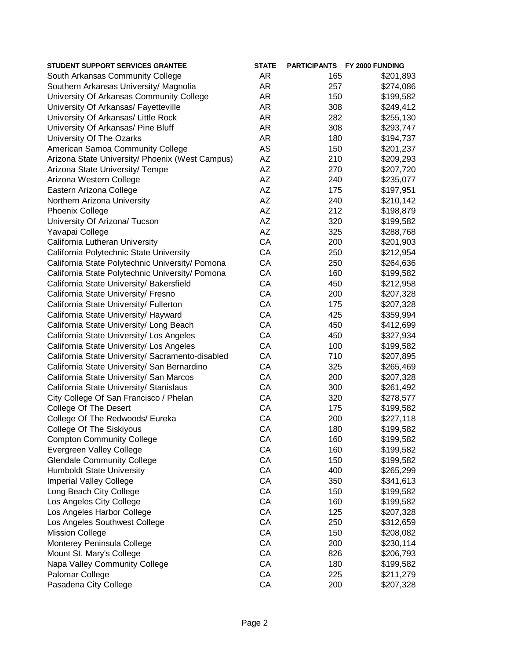| <b>STUDENT SUPPORT SERVICES GRANTEE</b>          | <b>STATE</b> |     | PARTICIPANTS FY 2000 FUNDING |
|--------------------------------------------------|--------------|-----|------------------------------|
| South Arkansas Community College                 | AR           | 165 | \$201,893                    |
| Southern Arkansas University/ Magnolia           | AR           | 257 | \$274,086                    |
| University Of Arkansas Community College         | AR           | 150 | \$199,582                    |
| University Of Arkansas/ Fayetteville             | AR           | 308 | \$249,412                    |
| University Of Arkansas/ Little Rock              | AR           | 282 | \$255,130                    |
| University Of Arkansas/ Pine Bluff               | AR           | 308 | \$293,747                    |
| University Of The Ozarks                         | AR           | 180 | \$194,737                    |
| American Samoa Community College                 | <b>AS</b>    | 150 | \$201,237                    |
| Arizona State University/ Phoenix (West Campus)  | AZ           | 210 | \$209,293                    |
| Arizona State University/ Tempe                  | AZ           | 270 | \$207,720                    |
| Arizona Western College                          | AZ           | 240 | \$235,077                    |
| Eastern Arizona College                          | AZ           | 175 | \$197,951                    |
| Northern Arizona University                      | AZ           | 240 | \$210,142                    |
| <b>Phoenix College</b>                           | AZ           | 212 | \$198,879                    |
| University Of Arizona/ Tucson                    | AZ           | 320 | \$199,582                    |
| Yavapai College                                  | AZ           | 325 | \$288,768                    |
| California Lutheran University                   | CA           | 200 | \$201,903                    |
| California Polytechnic State University          | CA           | 250 | \$212,954                    |
| California State Polytechnic University/ Pomona  | CA           | 250 | \$264,636                    |
| California State Polytechnic University/ Pomona  | CA           | 160 | \$199,582                    |
| California State University/ Bakersfield         | CA           | 450 | \$212,958                    |
| California State University/ Fresno              | CA           | 200 | \$207,328                    |
| California State University/ Fullerton           | CA           | 175 | \$207,328                    |
| California State University/ Hayward             | CA           | 425 | \$359,994                    |
| California State University/ Long Beach          | CA           | 450 | \$412,699                    |
| California State University/ Los Angeles         | CA           | 450 | \$327,934                    |
| California State University/ Los Angeles         | CA           | 100 | \$199,582                    |
| California State University/ Sacramento-disabled | CA           | 710 | \$207,895                    |
| California State University/ San Bernardino      | CA           | 325 | \$265,469                    |
| California State University/ San Marcos          | CA           | 200 | \$207,328                    |
| California State University/ Stanislaus          | CA           | 300 | \$261,492                    |
| City College Of San Francisco / Phelan           | CA           | 320 | \$278,577                    |
| College Of The Desert                            | CA           | 175 | \$199,582                    |
| College Of The Redwoods/ Eureka                  | CA           | 200 | \$227,118                    |
| <b>College Of The Siskiyous</b>                  | CA           | 180 | \$199,582                    |
| <b>Compton Community College</b>                 | CA           | 160 | \$199,582                    |
| Evergreen Valley College                         | CA           | 160 | \$199,582                    |
| <b>Glendale Community College</b>                | CA           | 150 | \$199,582                    |
| <b>Humboldt State University</b>                 | CA           | 400 | \$265,299                    |
| <b>Imperial Valley College</b>                   | CA           | 350 | \$341,613                    |
| Long Beach City College                          | CA           | 150 | \$199,582                    |
| Los Angeles City College                         | CA           | 160 | \$199,582                    |
| Los Angeles Harbor College                       | CA           | 125 | \$207,328                    |
| Los Angeles Southwest College                    | CA           | 250 | \$312,659                    |
| <b>Mission College</b>                           | CA           | 150 | \$208,082                    |
| Monterey Peninsula College                       | CA           | 200 | \$230,114                    |
| Mount St. Mary's College                         | CA           | 826 | \$206,793                    |
| Napa Valley Community College                    | CA           | 180 | \$199,582                    |
| Palomar College                                  | CA           | 225 | \$211,279                    |
| Pasadena City College                            | CA           | 200 | \$207,328                    |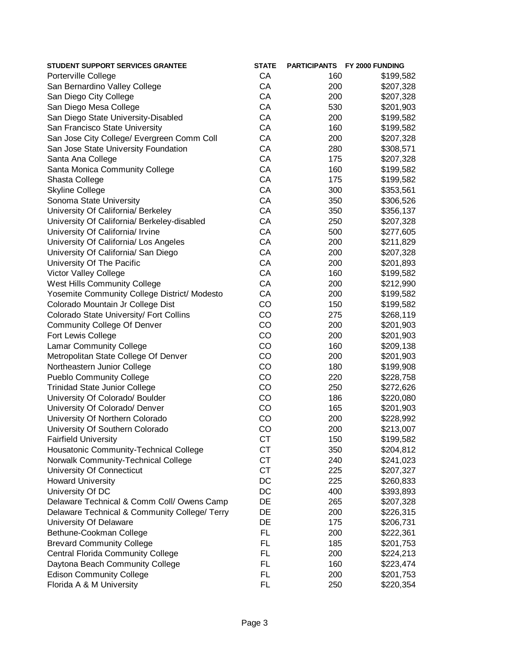| STUDENT SUPPORT SERVICES GRANTEE              | <b>STATE</b> |     | PARTICIPANTS FY 2000 FUNDING |
|-----------------------------------------------|--------------|-----|------------------------------|
| Porterville College                           | CA           | 160 | \$199,582                    |
| San Bernardino Valley College                 | CA           | 200 | \$207,328                    |
| San Diego City College                        | CA           | 200 | \$207,328                    |
| San Diego Mesa College                        | CA           | 530 | \$201,903                    |
| San Diego State University-Disabled           | CA           | 200 | \$199,582                    |
| San Francisco State University                | CA           | 160 | \$199,582                    |
| San Jose City College/ Evergreen Comm Coll    | CA           | 200 | \$207,328                    |
| San Jose State University Foundation          | CA           | 280 | \$308,571                    |
| Santa Ana College                             | CA           | 175 | \$207,328                    |
| Santa Monica Community College                | CA           | 160 | \$199,582                    |
| Shasta College                                | CA           | 175 | \$199,582                    |
| <b>Skyline College</b>                        | CA           | 300 | \$353,561                    |
| Sonoma State University                       | CA           | 350 | \$306,526                    |
| University Of California/ Berkeley            | CA           | 350 | \$356,137                    |
| University Of California/ Berkeley-disabled   | CA           | 250 | \$207,328                    |
| University Of California/ Irvine              | CA           | 500 | \$277,605                    |
| University Of California/ Los Angeles         | CA           | 200 | \$211,829                    |
| University Of California/ San Diego           | CA           | 200 | \$207,328                    |
| University Of The Pacific                     | CA           | 200 | \$201,893                    |
| <b>Victor Valley College</b>                  | CA           | 160 | \$199,582                    |
| <b>West Hills Community College</b>           | CA           | 200 | \$212,990                    |
| Yosemite Community College District/ Modesto  | CA           | 200 | \$199,582                    |
| Colorado Mountain Jr College Dist             | CO           | 150 | \$199,582                    |
| Colorado State University/ Fort Collins       | CO           | 275 | \$268,119                    |
| <b>Community College Of Denver</b>            | CO           | 200 | \$201,903                    |
| Fort Lewis College                            | CO           | 200 | \$201,903                    |
| <b>Lamar Community College</b>                | CO           | 160 | \$209,138                    |
| Metropolitan State College Of Denver          | CO           | 200 | \$201,903                    |
| Northeastern Junior College                   | CO           | 180 | \$199,908                    |
| <b>Pueblo Community College</b>               | CO           | 220 | \$228,758                    |
| <b>Trinidad State Junior College</b>          | CO           | 250 | \$272,626                    |
| University Of Colorado/ Boulder               | CO           | 186 | \$220,080                    |
| University Of Colorado/ Denver                | CO           | 165 | \$201,903                    |
| University Of Northern Colorado               | CO           | 200 | \$228,992                    |
| University Of Southern Colorado               | CO           | 200 | \$213,007                    |
| <b>Fairfield University</b>                   | <b>CT</b>    | 150 | \$199,582                    |
| Housatonic Community-Technical College        | <b>CT</b>    | 350 | \$204,812                    |
| Norwalk Community-Technical College           | <b>CT</b>    | 240 | \$241,023                    |
| University Of Connecticut                     | <b>CT</b>    | 225 | \$207,327                    |
| <b>Howard University</b>                      | DC           | 225 | \$260,833                    |
| University Of DC                              | DC           | 400 | \$393,893                    |
| Delaware Technical & Comm Coll/ Owens Camp    | DE           | 265 | \$207,328                    |
| Delaware Technical & Community College/ Terry | DE           | 200 | \$226,315                    |
| University Of Delaware                        | DE           | 175 | \$206,731                    |
| Bethune-Cookman College                       | <b>FL</b>    | 200 | \$222,361                    |
| <b>Brevard Community College</b>              | FL           | 185 | \$201,753                    |
| <b>Central Florida Community College</b>      | FL.          | 200 | \$224,213                    |
| Daytona Beach Community College               | <b>FL</b>    | 160 | \$223,474                    |
| <b>Edison Community College</b>               | <b>FL</b>    | 200 | \$201,753                    |
| Florida A & M University                      | FL           | 250 | \$220,354                    |
|                                               |              |     |                              |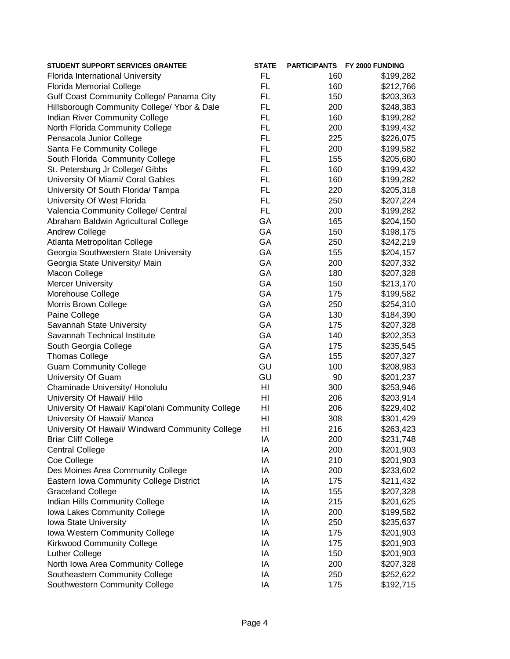| <b>STUDENT SUPPORT SERVICES GRANTEE</b>            | <b>STATE</b> |     | PARTICIPANTS FY 2000 FUNDING |
|----------------------------------------------------|--------------|-----|------------------------------|
| Florida International University                   | <b>FL</b>    | 160 | \$199,282                    |
| <b>Florida Memorial College</b>                    | <b>FL</b>    | 160 | \$212,766                    |
| Gulf Coast Community College/ Panama City          | <b>FL</b>    | 150 | \$203,363                    |
| Hillsborough Community College/ Ybor & Dale        | FL.          | 200 | \$248,383                    |
| Indian River Community College                     | FL.          | 160 | \$199,282                    |
| North Florida Community College                    | <b>FL</b>    | 200 | \$199,432                    |
| Pensacola Junior College                           | FL.          | 225 | \$226,075                    |
| Santa Fe Community College                         | <b>FL</b>    | 200 | \$199,582                    |
| South Florida Community College                    | <b>FL</b>    | 155 | \$205,680                    |
| St. Petersburg Jr College/ Gibbs                   | <b>FL</b>    | 160 | \$199,432                    |
| University Of Miami/ Coral Gables                  | <b>FL</b>    | 160 | \$199,282                    |
| University Of South Florida/ Tampa                 | FL.          | 220 | \$205,318                    |
| University Of West Florida                         | <b>FL</b>    | 250 | \$207,224                    |
| Valencia Community College/ Central                | <b>FL</b>    | 200 | \$199,282                    |
| Abraham Baldwin Agricultural College               | GA           | 165 | \$204,150                    |
| Andrew College                                     | GA           | 150 | \$198,175                    |
| Atlanta Metropolitan College                       | GA           | 250 | \$242,219                    |
| Georgia Southwestern State University              | GA           | 155 | \$204,157                    |
| Georgia State University/ Main                     | GA           | 200 | \$207,332                    |
| Macon College                                      | GA           | 180 | \$207,328                    |
| <b>Mercer University</b>                           | GA           | 150 | \$213,170                    |
| Morehouse College                                  | GA           | 175 | \$199,582                    |
| Morris Brown College                               | GA           | 250 | \$254,310                    |
| Paine College                                      | GA           | 130 | \$184,390                    |
| Savannah State University                          | GA           | 175 | \$207,328                    |
| Savannah Technical Institute                       | GA           | 140 | \$202,353                    |
| South Georgia College                              | GA           | 175 | \$235,545                    |
| <b>Thomas College</b>                              | GA           | 155 | \$207,327                    |
| <b>Guam Community College</b>                      | GU           | 100 | \$208,983                    |
| University Of Guam                                 | GU           | 90  | \$201,237                    |
| Chaminade University/ Honolulu                     | HI           | 300 | \$253,946                    |
| University Of Hawaii/ Hilo                         | HI           | 206 | \$203,914                    |
| University Of Hawaii/ Kapi'olani Community College | HI           | 206 | \$229,402                    |
| University Of Hawaii/ Manoa                        | HI           | 308 | \$301,429                    |
| University Of Hawaii/ Windward Community College   | HI           | 216 | \$263,423                    |
| <b>Briar Cliff College</b>                         | IA           | 200 | \$231,748                    |
| <b>Central College</b>                             | IA           | 200 | \$201,903                    |
| Coe College                                        | IA           | 210 | \$201,903                    |
| Des Moines Area Community College                  | IA           | 200 | \$233,602                    |
| Eastern Iowa Community College District            | IA           | 175 | \$211,432                    |
| <b>Graceland College</b>                           | IA           | 155 | \$207,328                    |
| Indian Hills Community College                     | IA           | 215 | \$201,625                    |
| Iowa Lakes Community College                       | IA           | 200 | \$199,582                    |
| Iowa State University                              | IA           | 250 | \$235,637                    |
| Iowa Western Community College                     | IA           | 175 | \$201,903                    |
| <b>Kirkwood Community College</b>                  | IA           | 175 | \$201,903                    |
| Luther College                                     | IA           | 150 | \$201,903                    |
| North Iowa Area Community College                  | IA           | 200 | \$207,328                    |
| Southeastern Community College                     | IA           | 250 | \$252,622                    |
| Southwestern Community College                     | IA           | 175 | \$192,715                    |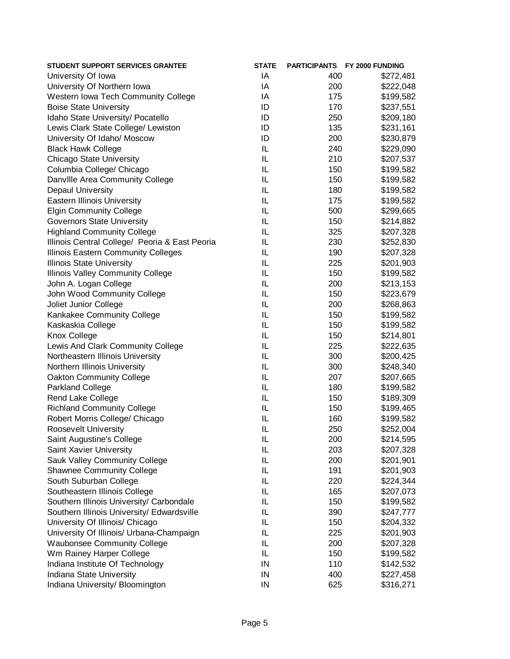| <b>STUDENT SUPPORT SERVICES GRANTEE</b>        | <b>STATE</b> |     | PARTICIPANTS FY 2000 FUNDING |
|------------------------------------------------|--------------|-----|------------------------------|
| University Of Iowa                             | IA           | 400 | \$272,481                    |
| University Of Northern Iowa                    | IA           | 200 | \$222,048                    |
| Western Iowa Tech Community College            | ΙA           | 175 | \$199,582                    |
| <b>Boise State University</b>                  | ID           | 170 | \$237,551                    |
| Idaho State University/ Pocatello              | ID           | 250 | \$209,180                    |
| Lewis Clark State College/ Lewiston            | ID           | 135 | \$231,161                    |
| University Of Idaho/ Moscow                    | ID           | 200 | \$230,879                    |
| <b>Black Hawk College</b>                      | IL           | 240 | \$229,090                    |
| <b>Chicago State University</b>                | IL           | 210 | \$207,537                    |
| Columbia College/ Chicago                      | IL           | 150 | \$199,582                    |
| Danville Area Community College                | IL           | 150 | \$199,582                    |
| <b>Depaul University</b>                       | IL           | 180 | \$199,582                    |
| <b>Eastern Illinois University</b>             | IL           | 175 | \$199,582                    |
| <b>Elgin Community College</b>                 | IL           | 500 | \$299,665                    |
| <b>Governors State University</b>              | IL           | 150 | \$214,882                    |
| <b>Highland Community College</b>              | IL           | 325 | \$207,328                    |
| Illinois Central College/ Peoria & East Peoria | IL           | 230 | \$252,830                    |
| Illinois Eastern Community Colleges            | IL           | 190 | \$207,328                    |
| <b>Illinois State University</b>               | IL           | 225 | \$201,903                    |
| Illinois Valley Community College              | IL           | 150 | \$199,582                    |
| John A. Logan College                          | IL           | 200 | \$213,153                    |
| John Wood Community College                    | IL           | 150 | \$223,679                    |
| Joliet Junior College                          | IL           | 200 | \$268,863                    |
| Kankakee Community College                     | IL           | 150 | \$199,582                    |
| Kaskaskia College                              | IL           | 150 | \$199,582                    |
| <b>Knox College</b>                            | IL           | 150 | \$214,801                    |
| Lewis And Clark Community College              | IL           | 225 | \$222,635                    |
| Northeastern Illinois University               | IL           | 300 | \$200,425                    |
| Northern Illinois University                   | IL           | 300 | \$248,340                    |
| <b>Oakton Community College</b>                | IL           | 207 | \$207,665                    |
| Parkland College                               | IL           | 180 | \$199,582                    |
| Rend Lake College                              | IL           | 150 | \$189,309                    |
| <b>Richland Community College</b>              | IL           | 150 | \$199,465                    |
| Robert Morris College/ Chicago                 | IL           | 160 | \$199,582                    |
| <b>Roosevelt University</b>                    | IL           | 250 | \$252,004                    |
| Saint Augustine's College                      | IL           | 200 | \$214,595                    |
| Saint Xavier University                        | IL           | 203 | \$207,328                    |
| Sauk Valley Community College                  | IL           | 200 | \$201,901                    |
| <b>Shawnee Community College</b>               | IL           | 191 | \$201,903                    |
| South Suburban College                         | IL           | 220 | \$224,344                    |
| Southeastern Illinois College                  | IL           | 165 | \$207,073                    |
| Southern Illinois University/ Carbondale       | IL           | 150 | \$199,582                    |
| Southern Illinois University/ Edwardsville     | IL           | 390 | \$247,777                    |
| University Of Illinois/ Chicago                | IL           | 150 | \$204,332                    |
| University Of Illinois/ Urbana-Champaign       | IL           | 225 | \$201,903                    |
| <b>Waubonsee Community College</b>             | IL           | 200 |                              |
| Wm Rainey Harper College                       | IL           | 150 | \$207,328<br>\$199,582       |
| Indiana Institute Of Technology                | IN           | 110 |                              |
| Indiana State University                       | IN           | 400 | \$142,532<br>\$227,458       |
| Indiana University/ Bloomington                | IN           | 625 |                              |
|                                                |              |     | \$316,271                    |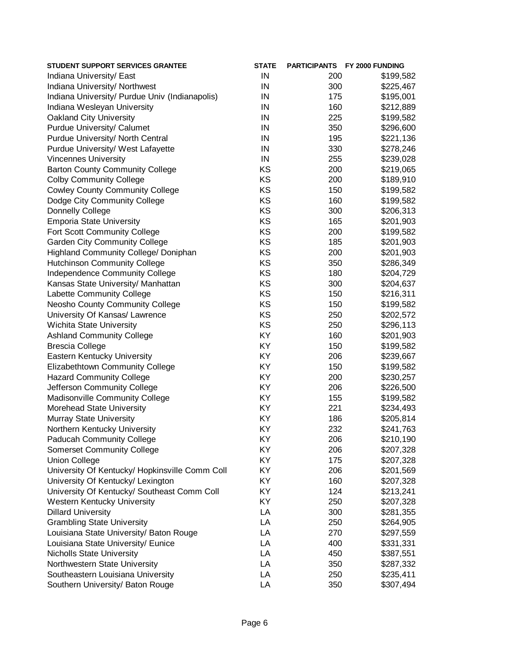| <b>STUDENT SUPPORT SERVICES GRANTEE</b>        | <b>STATE</b> |     | PARTICIPANTS FY 2000 FUNDING |
|------------------------------------------------|--------------|-----|------------------------------|
| Indiana University/ East                       | IN           | 200 | \$199,582                    |
| Indiana University/ Northwest                  | IN           | 300 | \$225,467                    |
| Indiana University/ Purdue Univ (Indianapolis) | IN           | 175 | \$195,001                    |
| Indiana Wesleyan University                    | IN           | 160 | \$212,889                    |
| <b>Oakland City University</b>                 | IN           | 225 | \$199,582                    |
| Purdue University/ Calumet                     | IN           | 350 | \$296,600                    |
| Purdue University/ North Central               | IN           | 195 | \$221,136                    |
| Purdue University/ West Lafayette              | IN           | 330 | \$278,246                    |
| <b>Vincennes University</b>                    | IN           | 255 | \$239,028                    |
| <b>Barton County Community College</b>         | KS           | 200 | \$219,065                    |
| <b>Colby Community College</b>                 | KS           | 200 | \$189,910                    |
| <b>Cowley County Community College</b>         | KS           | 150 | \$199,582                    |
| Dodge City Community College                   | KS           | 160 | \$199,582                    |
| Donnelly College                               | KS           | 300 | \$206,313                    |
| <b>Emporia State University</b>                | KS           | 165 | \$201,903                    |
| Fort Scott Community College                   | KS           | 200 | \$199,582                    |
| <b>Garden City Community College</b>           | KS           | 185 | \$201,903                    |
| Highland Community College/ Doniphan           | KS           | 200 | \$201,903                    |
| <b>Hutchinson Community College</b>            | KS           | 350 | \$286,349                    |
| Independence Community College                 | KS           | 180 | \$204,729                    |
| Kansas State University/ Manhattan             | KS           | 300 | \$204,637                    |
| Labette Community College                      | KS           | 150 | \$216,311                    |
| Neosho County Community College                | KS           | 150 | \$199,582                    |
| University Of Kansas/ Lawrence                 | KS           | 250 | \$202,572                    |
| Wichita State University                       | KS           | 250 | \$296,113                    |
| <b>Ashland Community College</b>               | KY           | 160 | \$201,903                    |
| <b>Brescia College</b>                         | KY           | 150 | \$199,582                    |
| Eastern Kentucky University                    | KY           | 206 | \$239,667                    |
| Elizabethtown Community College                | KY           | 150 | \$199,582                    |
| <b>Hazard Community College</b>                | KY           | 200 | \$230,257                    |
| Jefferson Community College                    | KY           | 206 | \$226,500                    |
| Madisonville Community College                 | KY           | 155 | \$199,582                    |
| Morehead State University                      | KY           | 221 | \$234,493                    |
| Murray State University                        | KY           | 186 | \$205,814                    |
| Northern Kentucky University                   | KY           | 232 | \$241,763                    |
| <b>Paducah Community College</b>               | KY           | 206 | \$210,190                    |
| <b>Somerset Community College</b>              | KY           | 206 | \$207,328                    |
| <b>Union College</b>                           | KY           | 175 | \$207,328                    |
| University Of Kentucky/ Hopkinsville Comm Coll | KY           | 206 | \$201,569                    |
| University Of Kentucky/ Lexington              | KY           | 160 | \$207,328                    |
| University Of Kentucky/ Southeast Comm Coll    | KY           | 124 | \$213,241                    |
| Western Kentucky University                    | KY           | 250 | \$207,328                    |
| <b>Dillard University</b>                      | LA           | 300 | \$281,355                    |
| <b>Grambling State University</b>              | LA           | 250 | \$264,905                    |
| Louisiana State University/ Baton Rouge        | LA           | 270 | \$297,559                    |
| Louisiana State University/ Eunice             | LA           | 400 |                              |
| <b>Nicholls State University</b>               | LA           | 450 | \$331,331<br>\$387,551       |
| Northwestern State University                  | LA           | 350 |                              |
| Southeastern Louisiana University              | LA           | 250 | \$287,332<br>\$235,411       |
|                                                | LA           |     | \$307,494                    |
| Southern University/ Baton Rouge               |              | 350 |                              |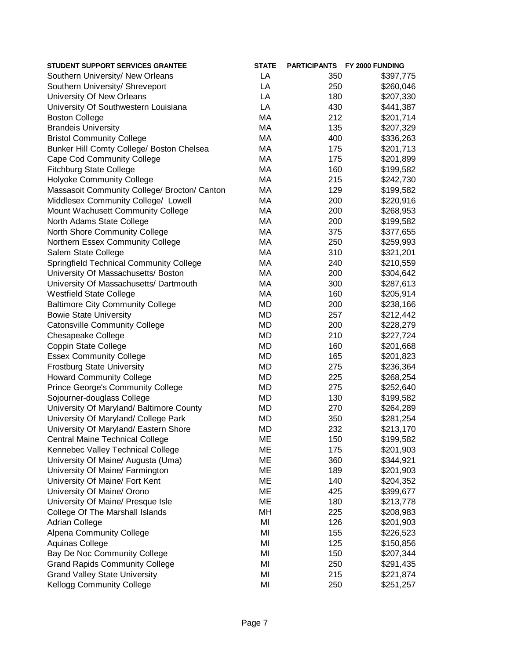| LA<br>Southern University/ New Orleans<br>350<br>\$397,775<br>Southern University/ Shreveport<br>LA<br>250<br>\$260,046<br>LA<br>University Of New Orleans<br>180<br>\$207,330<br>LA<br>430<br>University Of Southwestern Louisiana<br>\$441,387<br>MA<br><b>Boston College</b><br>212<br>\$201,714<br>MA<br>135<br><b>Brandeis University</b><br>\$207,329<br>MA<br>400<br><b>Bristol Community College</b><br>\$336,263<br>Bunker Hill Comty College/ Boston Chelsea<br>MA<br>175<br>\$201,713<br>MA<br><b>Cape Cod Community College</b><br>175<br>\$201,899<br><b>Fitchburg State College</b><br>MA<br>160<br>\$199,582<br>MA<br><b>Holyoke Community College</b><br>215<br>\$242,730<br>MA<br>Massasoit Community College/ Brocton/ Canton<br>129<br>\$199,582<br>MA<br>Middlesex Community College/ Lowell<br>200<br>\$220,916<br>MA<br>200<br>Mount Wachusett Community College<br>\$268,953<br>MA<br>North Adams State College<br>200<br>\$199,582<br>MA<br>North Shore Community College<br>375<br>\$377,655<br>MA<br>Northern Essex Community College<br>250<br>\$259,993<br>MA<br>Salem State College<br>310<br>\$321,201<br>MA<br><b>Springfield Technical Community College</b><br>240<br>\$210,559<br>MA<br>200<br>University Of Massachusetts/ Boston<br>\$304,642<br>MA<br>University Of Massachusetts/ Dartmouth<br>300<br>\$287,613<br><b>Westfield State College</b><br>MA<br>160<br>\$205,914<br><b>Baltimore City Community College</b><br>MD<br>200<br>\$238,166<br>MD<br><b>Bowie State University</b><br>257<br>\$212,442<br>MD<br><b>Catonsville Community College</b><br>200<br>\$228,279<br>MD<br>210<br>Chesapeake College<br>\$227,724<br><b>MD</b><br>Coppin State College<br>160<br>\$201,668<br><b>MD</b><br><b>Essex Community College</b><br>165<br>\$201,823<br><b>Frostburg State University</b><br><b>MD</b><br>275<br>\$236,364<br><b>MD</b><br><b>Howard Community College</b><br>225<br>\$268,254<br><b>MD</b><br>275<br><b>Prince George's Community College</b><br>\$252,640<br><b>MD</b><br>Sojourner-douglass College<br>130<br>\$199,582<br>University Of Maryland/ Baltimore County<br><b>MD</b><br>270<br>\$264,289<br>University Of Maryland/ College Park<br><b>MD</b><br>350<br>\$281,254<br><b>MD</b><br>University Of Maryland/ Eastern Shore<br>232<br>\$213,170<br>ME<br><b>Central Maine Technical College</b><br>150<br>\$199,582<br>ME<br>Kennebec Valley Technical College<br>175<br>\$201,903<br>ME<br>University Of Maine/ Augusta (Uma)<br>360<br>\$344,921<br>ME<br>University Of Maine/ Farmington<br>189<br>\$201,903<br>ME<br>University Of Maine/ Fort Kent<br>140<br>\$204,352<br>ME<br>University Of Maine/ Orono<br>425<br>\$399,677<br>ME<br>University Of Maine/ Presque Isle<br>180<br>\$213,778<br>MH<br>College Of The Marshall Islands<br>225<br>\$208,983<br>MI<br><b>Adrian College</b><br>126<br>\$201,903<br>MI<br><b>Alpena Community College</b><br>155<br>\$226,523<br>Aquinas College<br>MI<br>125<br>\$150,856<br>Bay De Noc Community College<br>MI<br>150<br>\$207,344<br><b>Grand Rapids Community College</b><br>MI<br>250<br>\$291,435<br><b>Grand Valley State University</b><br>MI<br>215<br>\$221,874<br><b>Kellogg Community College</b><br>MI<br>250<br>\$251,257 | <b>STUDENT SUPPORT SERVICES GRANTEE</b> | <b>STATE</b> | <b>PARTICIPANTS FY 2000 FUNDING</b> |
|-----------------------------------------------------------------------------------------------------------------------------------------------------------------------------------------------------------------------------------------------------------------------------------------------------------------------------------------------------------------------------------------------------------------------------------------------------------------------------------------------------------------------------------------------------------------------------------------------------------------------------------------------------------------------------------------------------------------------------------------------------------------------------------------------------------------------------------------------------------------------------------------------------------------------------------------------------------------------------------------------------------------------------------------------------------------------------------------------------------------------------------------------------------------------------------------------------------------------------------------------------------------------------------------------------------------------------------------------------------------------------------------------------------------------------------------------------------------------------------------------------------------------------------------------------------------------------------------------------------------------------------------------------------------------------------------------------------------------------------------------------------------------------------------------------------------------------------------------------------------------------------------------------------------------------------------------------------------------------------------------------------------------------------------------------------------------------------------------------------------------------------------------------------------------------------------------------------------------------------------------------------------------------------------------------------------------------------------------------------------------------------------------------------------------------------------------------------------------------------------------------------------------------------------------------------------------------------------------------------------------------------------------------------------------------------------------------------------------------------------------------------------------------------------------------------------------------------------------------------------------------------------------------------------------------------------------------------------------------------------------------------------------------------------------------------------------------------------------------------------------------------------------------------------------------------------------------------------------------------------------------------------|-----------------------------------------|--------------|-------------------------------------|
|                                                                                                                                                                                                                                                                                                                                                                                                                                                                                                                                                                                                                                                                                                                                                                                                                                                                                                                                                                                                                                                                                                                                                                                                                                                                                                                                                                                                                                                                                                                                                                                                                                                                                                                                                                                                                                                                                                                                                                                                                                                                                                                                                                                                                                                                                                                                                                                                                                                                                                                                                                                                                                                                                                                                                                                                                                                                                                                                                                                                                                                                                                                                                                                                                                                                 |                                         |              |                                     |
|                                                                                                                                                                                                                                                                                                                                                                                                                                                                                                                                                                                                                                                                                                                                                                                                                                                                                                                                                                                                                                                                                                                                                                                                                                                                                                                                                                                                                                                                                                                                                                                                                                                                                                                                                                                                                                                                                                                                                                                                                                                                                                                                                                                                                                                                                                                                                                                                                                                                                                                                                                                                                                                                                                                                                                                                                                                                                                                                                                                                                                                                                                                                                                                                                                                                 |                                         |              |                                     |
|                                                                                                                                                                                                                                                                                                                                                                                                                                                                                                                                                                                                                                                                                                                                                                                                                                                                                                                                                                                                                                                                                                                                                                                                                                                                                                                                                                                                                                                                                                                                                                                                                                                                                                                                                                                                                                                                                                                                                                                                                                                                                                                                                                                                                                                                                                                                                                                                                                                                                                                                                                                                                                                                                                                                                                                                                                                                                                                                                                                                                                                                                                                                                                                                                                                                 |                                         |              |                                     |
|                                                                                                                                                                                                                                                                                                                                                                                                                                                                                                                                                                                                                                                                                                                                                                                                                                                                                                                                                                                                                                                                                                                                                                                                                                                                                                                                                                                                                                                                                                                                                                                                                                                                                                                                                                                                                                                                                                                                                                                                                                                                                                                                                                                                                                                                                                                                                                                                                                                                                                                                                                                                                                                                                                                                                                                                                                                                                                                                                                                                                                                                                                                                                                                                                                                                 |                                         |              |                                     |
|                                                                                                                                                                                                                                                                                                                                                                                                                                                                                                                                                                                                                                                                                                                                                                                                                                                                                                                                                                                                                                                                                                                                                                                                                                                                                                                                                                                                                                                                                                                                                                                                                                                                                                                                                                                                                                                                                                                                                                                                                                                                                                                                                                                                                                                                                                                                                                                                                                                                                                                                                                                                                                                                                                                                                                                                                                                                                                                                                                                                                                                                                                                                                                                                                                                                 |                                         |              |                                     |
|                                                                                                                                                                                                                                                                                                                                                                                                                                                                                                                                                                                                                                                                                                                                                                                                                                                                                                                                                                                                                                                                                                                                                                                                                                                                                                                                                                                                                                                                                                                                                                                                                                                                                                                                                                                                                                                                                                                                                                                                                                                                                                                                                                                                                                                                                                                                                                                                                                                                                                                                                                                                                                                                                                                                                                                                                                                                                                                                                                                                                                                                                                                                                                                                                                                                 |                                         |              |                                     |
|                                                                                                                                                                                                                                                                                                                                                                                                                                                                                                                                                                                                                                                                                                                                                                                                                                                                                                                                                                                                                                                                                                                                                                                                                                                                                                                                                                                                                                                                                                                                                                                                                                                                                                                                                                                                                                                                                                                                                                                                                                                                                                                                                                                                                                                                                                                                                                                                                                                                                                                                                                                                                                                                                                                                                                                                                                                                                                                                                                                                                                                                                                                                                                                                                                                                 |                                         |              |                                     |
|                                                                                                                                                                                                                                                                                                                                                                                                                                                                                                                                                                                                                                                                                                                                                                                                                                                                                                                                                                                                                                                                                                                                                                                                                                                                                                                                                                                                                                                                                                                                                                                                                                                                                                                                                                                                                                                                                                                                                                                                                                                                                                                                                                                                                                                                                                                                                                                                                                                                                                                                                                                                                                                                                                                                                                                                                                                                                                                                                                                                                                                                                                                                                                                                                                                                 |                                         |              |                                     |
|                                                                                                                                                                                                                                                                                                                                                                                                                                                                                                                                                                                                                                                                                                                                                                                                                                                                                                                                                                                                                                                                                                                                                                                                                                                                                                                                                                                                                                                                                                                                                                                                                                                                                                                                                                                                                                                                                                                                                                                                                                                                                                                                                                                                                                                                                                                                                                                                                                                                                                                                                                                                                                                                                                                                                                                                                                                                                                                                                                                                                                                                                                                                                                                                                                                                 |                                         |              |                                     |
|                                                                                                                                                                                                                                                                                                                                                                                                                                                                                                                                                                                                                                                                                                                                                                                                                                                                                                                                                                                                                                                                                                                                                                                                                                                                                                                                                                                                                                                                                                                                                                                                                                                                                                                                                                                                                                                                                                                                                                                                                                                                                                                                                                                                                                                                                                                                                                                                                                                                                                                                                                                                                                                                                                                                                                                                                                                                                                                                                                                                                                                                                                                                                                                                                                                                 |                                         |              |                                     |
|                                                                                                                                                                                                                                                                                                                                                                                                                                                                                                                                                                                                                                                                                                                                                                                                                                                                                                                                                                                                                                                                                                                                                                                                                                                                                                                                                                                                                                                                                                                                                                                                                                                                                                                                                                                                                                                                                                                                                                                                                                                                                                                                                                                                                                                                                                                                                                                                                                                                                                                                                                                                                                                                                                                                                                                                                                                                                                                                                                                                                                                                                                                                                                                                                                                                 |                                         |              |                                     |
|                                                                                                                                                                                                                                                                                                                                                                                                                                                                                                                                                                                                                                                                                                                                                                                                                                                                                                                                                                                                                                                                                                                                                                                                                                                                                                                                                                                                                                                                                                                                                                                                                                                                                                                                                                                                                                                                                                                                                                                                                                                                                                                                                                                                                                                                                                                                                                                                                                                                                                                                                                                                                                                                                                                                                                                                                                                                                                                                                                                                                                                                                                                                                                                                                                                                 |                                         |              |                                     |
|                                                                                                                                                                                                                                                                                                                                                                                                                                                                                                                                                                                                                                                                                                                                                                                                                                                                                                                                                                                                                                                                                                                                                                                                                                                                                                                                                                                                                                                                                                                                                                                                                                                                                                                                                                                                                                                                                                                                                                                                                                                                                                                                                                                                                                                                                                                                                                                                                                                                                                                                                                                                                                                                                                                                                                                                                                                                                                                                                                                                                                                                                                                                                                                                                                                                 |                                         |              |                                     |
|                                                                                                                                                                                                                                                                                                                                                                                                                                                                                                                                                                                                                                                                                                                                                                                                                                                                                                                                                                                                                                                                                                                                                                                                                                                                                                                                                                                                                                                                                                                                                                                                                                                                                                                                                                                                                                                                                                                                                                                                                                                                                                                                                                                                                                                                                                                                                                                                                                                                                                                                                                                                                                                                                                                                                                                                                                                                                                                                                                                                                                                                                                                                                                                                                                                                 |                                         |              |                                     |
|                                                                                                                                                                                                                                                                                                                                                                                                                                                                                                                                                                                                                                                                                                                                                                                                                                                                                                                                                                                                                                                                                                                                                                                                                                                                                                                                                                                                                                                                                                                                                                                                                                                                                                                                                                                                                                                                                                                                                                                                                                                                                                                                                                                                                                                                                                                                                                                                                                                                                                                                                                                                                                                                                                                                                                                                                                                                                                                                                                                                                                                                                                                                                                                                                                                                 |                                         |              |                                     |
|                                                                                                                                                                                                                                                                                                                                                                                                                                                                                                                                                                                                                                                                                                                                                                                                                                                                                                                                                                                                                                                                                                                                                                                                                                                                                                                                                                                                                                                                                                                                                                                                                                                                                                                                                                                                                                                                                                                                                                                                                                                                                                                                                                                                                                                                                                                                                                                                                                                                                                                                                                                                                                                                                                                                                                                                                                                                                                                                                                                                                                                                                                                                                                                                                                                                 |                                         |              |                                     |
|                                                                                                                                                                                                                                                                                                                                                                                                                                                                                                                                                                                                                                                                                                                                                                                                                                                                                                                                                                                                                                                                                                                                                                                                                                                                                                                                                                                                                                                                                                                                                                                                                                                                                                                                                                                                                                                                                                                                                                                                                                                                                                                                                                                                                                                                                                                                                                                                                                                                                                                                                                                                                                                                                                                                                                                                                                                                                                                                                                                                                                                                                                                                                                                                                                                                 |                                         |              |                                     |
|                                                                                                                                                                                                                                                                                                                                                                                                                                                                                                                                                                                                                                                                                                                                                                                                                                                                                                                                                                                                                                                                                                                                                                                                                                                                                                                                                                                                                                                                                                                                                                                                                                                                                                                                                                                                                                                                                                                                                                                                                                                                                                                                                                                                                                                                                                                                                                                                                                                                                                                                                                                                                                                                                                                                                                                                                                                                                                                                                                                                                                                                                                                                                                                                                                                                 |                                         |              |                                     |
|                                                                                                                                                                                                                                                                                                                                                                                                                                                                                                                                                                                                                                                                                                                                                                                                                                                                                                                                                                                                                                                                                                                                                                                                                                                                                                                                                                                                                                                                                                                                                                                                                                                                                                                                                                                                                                                                                                                                                                                                                                                                                                                                                                                                                                                                                                                                                                                                                                                                                                                                                                                                                                                                                                                                                                                                                                                                                                                                                                                                                                                                                                                                                                                                                                                                 |                                         |              |                                     |
|                                                                                                                                                                                                                                                                                                                                                                                                                                                                                                                                                                                                                                                                                                                                                                                                                                                                                                                                                                                                                                                                                                                                                                                                                                                                                                                                                                                                                                                                                                                                                                                                                                                                                                                                                                                                                                                                                                                                                                                                                                                                                                                                                                                                                                                                                                                                                                                                                                                                                                                                                                                                                                                                                                                                                                                                                                                                                                                                                                                                                                                                                                                                                                                                                                                                 |                                         |              |                                     |
|                                                                                                                                                                                                                                                                                                                                                                                                                                                                                                                                                                                                                                                                                                                                                                                                                                                                                                                                                                                                                                                                                                                                                                                                                                                                                                                                                                                                                                                                                                                                                                                                                                                                                                                                                                                                                                                                                                                                                                                                                                                                                                                                                                                                                                                                                                                                                                                                                                                                                                                                                                                                                                                                                                                                                                                                                                                                                                                                                                                                                                                                                                                                                                                                                                                                 |                                         |              |                                     |
|                                                                                                                                                                                                                                                                                                                                                                                                                                                                                                                                                                                                                                                                                                                                                                                                                                                                                                                                                                                                                                                                                                                                                                                                                                                                                                                                                                                                                                                                                                                                                                                                                                                                                                                                                                                                                                                                                                                                                                                                                                                                                                                                                                                                                                                                                                                                                                                                                                                                                                                                                                                                                                                                                                                                                                                                                                                                                                                                                                                                                                                                                                                                                                                                                                                                 |                                         |              |                                     |
|                                                                                                                                                                                                                                                                                                                                                                                                                                                                                                                                                                                                                                                                                                                                                                                                                                                                                                                                                                                                                                                                                                                                                                                                                                                                                                                                                                                                                                                                                                                                                                                                                                                                                                                                                                                                                                                                                                                                                                                                                                                                                                                                                                                                                                                                                                                                                                                                                                                                                                                                                                                                                                                                                                                                                                                                                                                                                                                                                                                                                                                                                                                                                                                                                                                                 |                                         |              |                                     |
|                                                                                                                                                                                                                                                                                                                                                                                                                                                                                                                                                                                                                                                                                                                                                                                                                                                                                                                                                                                                                                                                                                                                                                                                                                                                                                                                                                                                                                                                                                                                                                                                                                                                                                                                                                                                                                                                                                                                                                                                                                                                                                                                                                                                                                                                                                                                                                                                                                                                                                                                                                                                                                                                                                                                                                                                                                                                                                                                                                                                                                                                                                                                                                                                                                                                 |                                         |              |                                     |
|                                                                                                                                                                                                                                                                                                                                                                                                                                                                                                                                                                                                                                                                                                                                                                                                                                                                                                                                                                                                                                                                                                                                                                                                                                                                                                                                                                                                                                                                                                                                                                                                                                                                                                                                                                                                                                                                                                                                                                                                                                                                                                                                                                                                                                                                                                                                                                                                                                                                                                                                                                                                                                                                                                                                                                                                                                                                                                                                                                                                                                                                                                                                                                                                                                                                 |                                         |              |                                     |
|                                                                                                                                                                                                                                                                                                                                                                                                                                                                                                                                                                                                                                                                                                                                                                                                                                                                                                                                                                                                                                                                                                                                                                                                                                                                                                                                                                                                                                                                                                                                                                                                                                                                                                                                                                                                                                                                                                                                                                                                                                                                                                                                                                                                                                                                                                                                                                                                                                                                                                                                                                                                                                                                                                                                                                                                                                                                                                                                                                                                                                                                                                                                                                                                                                                                 |                                         |              |                                     |
|                                                                                                                                                                                                                                                                                                                                                                                                                                                                                                                                                                                                                                                                                                                                                                                                                                                                                                                                                                                                                                                                                                                                                                                                                                                                                                                                                                                                                                                                                                                                                                                                                                                                                                                                                                                                                                                                                                                                                                                                                                                                                                                                                                                                                                                                                                                                                                                                                                                                                                                                                                                                                                                                                                                                                                                                                                                                                                                                                                                                                                                                                                                                                                                                                                                                 |                                         |              |                                     |
|                                                                                                                                                                                                                                                                                                                                                                                                                                                                                                                                                                                                                                                                                                                                                                                                                                                                                                                                                                                                                                                                                                                                                                                                                                                                                                                                                                                                                                                                                                                                                                                                                                                                                                                                                                                                                                                                                                                                                                                                                                                                                                                                                                                                                                                                                                                                                                                                                                                                                                                                                                                                                                                                                                                                                                                                                                                                                                                                                                                                                                                                                                                                                                                                                                                                 |                                         |              |                                     |
|                                                                                                                                                                                                                                                                                                                                                                                                                                                                                                                                                                                                                                                                                                                                                                                                                                                                                                                                                                                                                                                                                                                                                                                                                                                                                                                                                                                                                                                                                                                                                                                                                                                                                                                                                                                                                                                                                                                                                                                                                                                                                                                                                                                                                                                                                                                                                                                                                                                                                                                                                                                                                                                                                                                                                                                                                                                                                                                                                                                                                                                                                                                                                                                                                                                                 |                                         |              |                                     |
|                                                                                                                                                                                                                                                                                                                                                                                                                                                                                                                                                                                                                                                                                                                                                                                                                                                                                                                                                                                                                                                                                                                                                                                                                                                                                                                                                                                                                                                                                                                                                                                                                                                                                                                                                                                                                                                                                                                                                                                                                                                                                                                                                                                                                                                                                                                                                                                                                                                                                                                                                                                                                                                                                                                                                                                                                                                                                                                                                                                                                                                                                                                                                                                                                                                                 |                                         |              |                                     |
|                                                                                                                                                                                                                                                                                                                                                                                                                                                                                                                                                                                                                                                                                                                                                                                                                                                                                                                                                                                                                                                                                                                                                                                                                                                                                                                                                                                                                                                                                                                                                                                                                                                                                                                                                                                                                                                                                                                                                                                                                                                                                                                                                                                                                                                                                                                                                                                                                                                                                                                                                                                                                                                                                                                                                                                                                                                                                                                                                                                                                                                                                                                                                                                                                                                                 |                                         |              |                                     |
|                                                                                                                                                                                                                                                                                                                                                                                                                                                                                                                                                                                                                                                                                                                                                                                                                                                                                                                                                                                                                                                                                                                                                                                                                                                                                                                                                                                                                                                                                                                                                                                                                                                                                                                                                                                                                                                                                                                                                                                                                                                                                                                                                                                                                                                                                                                                                                                                                                                                                                                                                                                                                                                                                                                                                                                                                                                                                                                                                                                                                                                                                                                                                                                                                                                                 |                                         |              |                                     |
|                                                                                                                                                                                                                                                                                                                                                                                                                                                                                                                                                                                                                                                                                                                                                                                                                                                                                                                                                                                                                                                                                                                                                                                                                                                                                                                                                                                                                                                                                                                                                                                                                                                                                                                                                                                                                                                                                                                                                                                                                                                                                                                                                                                                                                                                                                                                                                                                                                                                                                                                                                                                                                                                                                                                                                                                                                                                                                                                                                                                                                                                                                                                                                                                                                                                 |                                         |              |                                     |
|                                                                                                                                                                                                                                                                                                                                                                                                                                                                                                                                                                                                                                                                                                                                                                                                                                                                                                                                                                                                                                                                                                                                                                                                                                                                                                                                                                                                                                                                                                                                                                                                                                                                                                                                                                                                                                                                                                                                                                                                                                                                                                                                                                                                                                                                                                                                                                                                                                                                                                                                                                                                                                                                                                                                                                                                                                                                                                                                                                                                                                                                                                                                                                                                                                                                 |                                         |              |                                     |
|                                                                                                                                                                                                                                                                                                                                                                                                                                                                                                                                                                                                                                                                                                                                                                                                                                                                                                                                                                                                                                                                                                                                                                                                                                                                                                                                                                                                                                                                                                                                                                                                                                                                                                                                                                                                                                                                                                                                                                                                                                                                                                                                                                                                                                                                                                                                                                                                                                                                                                                                                                                                                                                                                                                                                                                                                                                                                                                                                                                                                                                                                                                                                                                                                                                                 |                                         |              |                                     |
|                                                                                                                                                                                                                                                                                                                                                                                                                                                                                                                                                                                                                                                                                                                                                                                                                                                                                                                                                                                                                                                                                                                                                                                                                                                                                                                                                                                                                                                                                                                                                                                                                                                                                                                                                                                                                                                                                                                                                                                                                                                                                                                                                                                                                                                                                                                                                                                                                                                                                                                                                                                                                                                                                                                                                                                                                                                                                                                                                                                                                                                                                                                                                                                                                                                                 |                                         |              |                                     |
|                                                                                                                                                                                                                                                                                                                                                                                                                                                                                                                                                                                                                                                                                                                                                                                                                                                                                                                                                                                                                                                                                                                                                                                                                                                                                                                                                                                                                                                                                                                                                                                                                                                                                                                                                                                                                                                                                                                                                                                                                                                                                                                                                                                                                                                                                                                                                                                                                                                                                                                                                                                                                                                                                                                                                                                                                                                                                                                                                                                                                                                                                                                                                                                                                                                                 |                                         |              |                                     |
|                                                                                                                                                                                                                                                                                                                                                                                                                                                                                                                                                                                                                                                                                                                                                                                                                                                                                                                                                                                                                                                                                                                                                                                                                                                                                                                                                                                                                                                                                                                                                                                                                                                                                                                                                                                                                                                                                                                                                                                                                                                                                                                                                                                                                                                                                                                                                                                                                                                                                                                                                                                                                                                                                                                                                                                                                                                                                                                                                                                                                                                                                                                                                                                                                                                                 |                                         |              |                                     |
|                                                                                                                                                                                                                                                                                                                                                                                                                                                                                                                                                                                                                                                                                                                                                                                                                                                                                                                                                                                                                                                                                                                                                                                                                                                                                                                                                                                                                                                                                                                                                                                                                                                                                                                                                                                                                                                                                                                                                                                                                                                                                                                                                                                                                                                                                                                                                                                                                                                                                                                                                                                                                                                                                                                                                                                                                                                                                                                                                                                                                                                                                                                                                                                                                                                                 |                                         |              |                                     |
|                                                                                                                                                                                                                                                                                                                                                                                                                                                                                                                                                                                                                                                                                                                                                                                                                                                                                                                                                                                                                                                                                                                                                                                                                                                                                                                                                                                                                                                                                                                                                                                                                                                                                                                                                                                                                                                                                                                                                                                                                                                                                                                                                                                                                                                                                                                                                                                                                                                                                                                                                                                                                                                                                                                                                                                                                                                                                                                                                                                                                                                                                                                                                                                                                                                                 |                                         |              |                                     |
|                                                                                                                                                                                                                                                                                                                                                                                                                                                                                                                                                                                                                                                                                                                                                                                                                                                                                                                                                                                                                                                                                                                                                                                                                                                                                                                                                                                                                                                                                                                                                                                                                                                                                                                                                                                                                                                                                                                                                                                                                                                                                                                                                                                                                                                                                                                                                                                                                                                                                                                                                                                                                                                                                                                                                                                                                                                                                                                                                                                                                                                                                                                                                                                                                                                                 |                                         |              |                                     |
|                                                                                                                                                                                                                                                                                                                                                                                                                                                                                                                                                                                                                                                                                                                                                                                                                                                                                                                                                                                                                                                                                                                                                                                                                                                                                                                                                                                                                                                                                                                                                                                                                                                                                                                                                                                                                                                                                                                                                                                                                                                                                                                                                                                                                                                                                                                                                                                                                                                                                                                                                                                                                                                                                                                                                                                                                                                                                                                                                                                                                                                                                                                                                                                                                                                                 |                                         |              |                                     |
|                                                                                                                                                                                                                                                                                                                                                                                                                                                                                                                                                                                                                                                                                                                                                                                                                                                                                                                                                                                                                                                                                                                                                                                                                                                                                                                                                                                                                                                                                                                                                                                                                                                                                                                                                                                                                                                                                                                                                                                                                                                                                                                                                                                                                                                                                                                                                                                                                                                                                                                                                                                                                                                                                                                                                                                                                                                                                                                                                                                                                                                                                                                                                                                                                                                                 |                                         |              |                                     |
|                                                                                                                                                                                                                                                                                                                                                                                                                                                                                                                                                                                                                                                                                                                                                                                                                                                                                                                                                                                                                                                                                                                                                                                                                                                                                                                                                                                                                                                                                                                                                                                                                                                                                                                                                                                                                                                                                                                                                                                                                                                                                                                                                                                                                                                                                                                                                                                                                                                                                                                                                                                                                                                                                                                                                                                                                                                                                                                                                                                                                                                                                                                                                                                                                                                                 |                                         |              |                                     |
|                                                                                                                                                                                                                                                                                                                                                                                                                                                                                                                                                                                                                                                                                                                                                                                                                                                                                                                                                                                                                                                                                                                                                                                                                                                                                                                                                                                                                                                                                                                                                                                                                                                                                                                                                                                                                                                                                                                                                                                                                                                                                                                                                                                                                                                                                                                                                                                                                                                                                                                                                                                                                                                                                                                                                                                                                                                                                                                                                                                                                                                                                                                                                                                                                                                                 |                                         |              |                                     |
|                                                                                                                                                                                                                                                                                                                                                                                                                                                                                                                                                                                                                                                                                                                                                                                                                                                                                                                                                                                                                                                                                                                                                                                                                                                                                                                                                                                                                                                                                                                                                                                                                                                                                                                                                                                                                                                                                                                                                                                                                                                                                                                                                                                                                                                                                                                                                                                                                                                                                                                                                                                                                                                                                                                                                                                                                                                                                                                                                                                                                                                                                                                                                                                                                                                                 |                                         |              |                                     |
|                                                                                                                                                                                                                                                                                                                                                                                                                                                                                                                                                                                                                                                                                                                                                                                                                                                                                                                                                                                                                                                                                                                                                                                                                                                                                                                                                                                                                                                                                                                                                                                                                                                                                                                                                                                                                                                                                                                                                                                                                                                                                                                                                                                                                                                                                                                                                                                                                                                                                                                                                                                                                                                                                                                                                                                                                                                                                                                                                                                                                                                                                                                                                                                                                                                                 |                                         |              |                                     |
|                                                                                                                                                                                                                                                                                                                                                                                                                                                                                                                                                                                                                                                                                                                                                                                                                                                                                                                                                                                                                                                                                                                                                                                                                                                                                                                                                                                                                                                                                                                                                                                                                                                                                                                                                                                                                                                                                                                                                                                                                                                                                                                                                                                                                                                                                                                                                                                                                                                                                                                                                                                                                                                                                                                                                                                                                                                                                                                                                                                                                                                                                                                                                                                                                                                                 |                                         |              |                                     |
|                                                                                                                                                                                                                                                                                                                                                                                                                                                                                                                                                                                                                                                                                                                                                                                                                                                                                                                                                                                                                                                                                                                                                                                                                                                                                                                                                                                                                                                                                                                                                                                                                                                                                                                                                                                                                                                                                                                                                                                                                                                                                                                                                                                                                                                                                                                                                                                                                                                                                                                                                                                                                                                                                                                                                                                                                                                                                                                                                                                                                                                                                                                                                                                                                                                                 |                                         |              |                                     |
|                                                                                                                                                                                                                                                                                                                                                                                                                                                                                                                                                                                                                                                                                                                                                                                                                                                                                                                                                                                                                                                                                                                                                                                                                                                                                                                                                                                                                                                                                                                                                                                                                                                                                                                                                                                                                                                                                                                                                                                                                                                                                                                                                                                                                                                                                                                                                                                                                                                                                                                                                                                                                                                                                                                                                                                                                                                                                                                                                                                                                                                                                                                                                                                                                                                                 |                                         |              |                                     |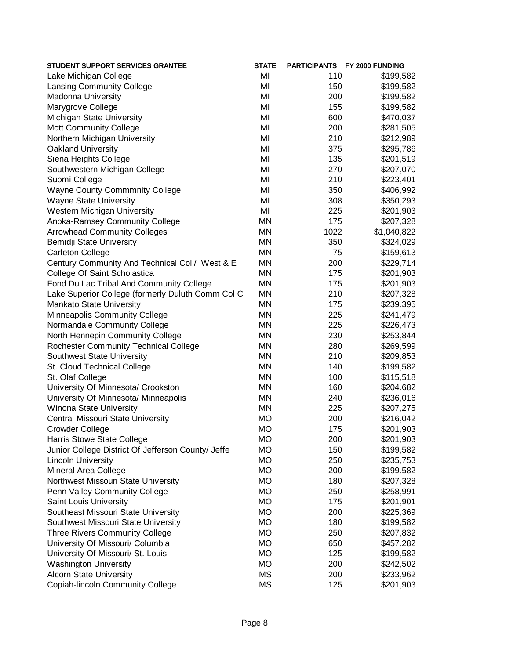| <b>STUDENT SUPPORT SERVICES GRANTEE</b>            | <b>STATE</b> |      | PARTICIPANTS FY 2000 FUNDING |
|----------------------------------------------------|--------------|------|------------------------------|
| Lake Michigan College                              | MI           | 110  | \$199,582                    |
| <b>Lansing Community College</b>                   | MI           | 150  | \$199,582                    |
| <b>Madonna University</b>                          | MI           | 200  | \$199,582                    |
| Marygrove College                                  | MI           | 155  | \$199,582                    |
| Michigan State University                          | MI           | 600  | \$470,037                    |
| <b>Mott Community College</b>                      | MI           | 200  | \$281,505                    |
| Northern Michigan University                       | MI           | 210  | \$212,989                    |
| <b>Oakland University</b>                          | MI           | 375  | \$295,786                    |
| Siena Heights College                              | MI           | 135  | \$201,519                    |
| Southwestern Michigan College                      | MI           | 270  | \$207,070                    |
| Suomi College                                      | MI           | 210  | \$223,401                    |
| <b>Wayne County Commmnity College</b>              | MI           | 350  | \$406,992                    |
| <b>Wayne State University</b>                      | MI           | 308  | \$350,293                    |
| Western Michigan University                        | MI           | 225  | \$201,903                    |
| Anoka-Ramsey Community College                     | <b>MN</b>    | 175  | \$207,328                    |
| <b>Arrowhead Community Colleges</b>                | <b>MN</b>    | 1022 | \$1,040,822                  |
| Bemidji State University                           | <b>MN</b>    | 350  | \$324,029                    |
| <b>Carleton College</b>                            | <b>MN</b>    | 75   | \$159,613                    |
| Century Community And Technical Coll/ West & E     | <b>MN</b>    | 200  | \$229,714                    |
| College Of Saint Scholastica                       | <b>MN</b>    | 175  | \$201,903                    |
| Fond Du Lac Tribal And Community College           | <b>MN</b>    | 175  | \$201,903                    |
| Lake Superior College (formerly Duluth Comm Col C  | MN           | 210  | \$207,328                    |
| Mankato State University                           | MN           | 175  | \$239,395                    |
| Minneapolis Community College                      | MN           | 225  | \$241,479                    |
| Normandale Community College                       | <b>MN</b>    | 225  | \$226,473                    |
| North Hennepin Community College                   | <b>MN</b>    | 230  | \$253,844                    |
| <b>Rochester Community Technical College</b>       | <b>MN</b>    | 280  | \$269,599                    |
| Southwest State University                         | <b>MN</b>    | 210  | \$209,853                    |
| St. Cloud Technical College                        | <b>MN</b>    | 140  | \$199,582                    |
| St. Olaf College                                   | <b>MN</b>    | 100  | \$115,518                    |
| University Of Minnesota/ Crookston                 | <b>MN</b>    | 160  | \$204,682                    |
| University Of Minnesota/ Minneapolis               | <b>MN</b>    | 240  | \$236,016                    |
| Winona State University                            | <b>MN</b>    | 225  | \$207,275                    |
| Central Missouri State University                  | <b>MO</b>    | 200  | \$216,042                    |
| <b>Crowder College</b>                             | <b>MO</b>    | 175  | \$201,903                    |
| Harris Stowe State College                         | <b>MO</b>    | 200  | \$201,903                    |
| Junior College District Of Jefferson County/ Jeffe | <b>MO</b>    | 150  | \$199,582                    |
| <b>Lincoln University</b>                          | <b>MO</b>    | 250  | \$235,753                    |
| Mineral Area College                               | <b>MO</b>    | 200  | \$199,582                    |
| Northwest Missouri State University                | <b>MO</b>    | 180  | \$207,328                    |
| Penn Valley Community College                      | <b>MO</b>    | 250  | \$258,991                    |
| Saint Louis University                             | <b>MO</b>    | 175  | \$201,901                    |
| Southeast Missouri State University                | <b>MO</b>    | 200  | \$225,369                    |
| Southwest Missouri State University                | <b>MO</b>    | 180  | \$199,582                    |
| <b>Three Rivers Community College</b>              | <b>MO</b>    | 250  | \$207,832                    |
| University Of Missouri/ Columbia                   | <b>MO</b>    | 650  | \$457,282                    |
| University Of Missouri/ St. Louis                  | <b>MO</b>    | 125  |                              |
| <b>Washington University</b>                       | <b>MO</b>    | 200  | \$199,582<br>\$242,502       |
| <b>Alcorn State University</b>                     | <b>MS</b>    | 200  | \$233,962                    |
|                                                    |              |      | \$201,903                    |
| <b>Copiah-lincoln Community College</b>            | <b>MS</b>    | 125  |                              |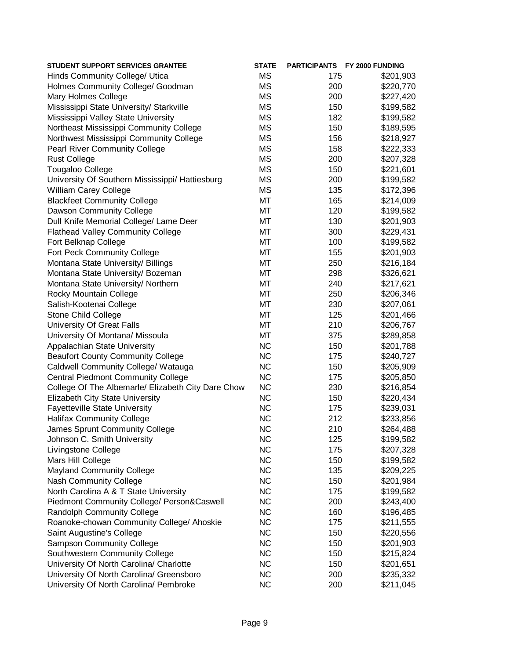| <b>MS</b><br>Hinds Community College/ Utica<br>175                     | \$201,903 |
|------------------------------------------------------------------------|-----------|
|                                                                        |           |
| <b>MS</b><br>Holmes Community College/ Goodman<br>200                  | \$220,770 |
| <b>MS</b><br><b>Mary Holmes College</b><br>200                         | \$227,420 |
| Mississippi State University/ Starkville<br><b>MS</b><br>150           | \$199,582 |
| Mississippi Valley State University<br><b>MS</b><br>182                | \$199,582 |
| <b>MS</b><br>Northeast Mississippi Community College<br>150            | \$189,595 |
| <b>MS</b><br>Northwest Mississippi Community College<br>156            | \$218,927 |
| <b>MS</b><br><b>Pearl River Community College</b><br>158               | \$222,333 |
| <b>MS</b><br><b>Rust College</b><br>200                                | \$207,328 |
| <b>MS</b><br><b>Tougaloo College</b><br>150                            | \$221,601 |
| <b>MS</b><br>University Of Southern Mississippi/ Hattiesburg<br>200    | \$199,582 |
| <b>MS</b><br>William Carey College<br>135                              | \$172,396 |
| MT<br><b>Blackfeet Community College</b><br>165                        | \$214,009 |
| MT<br>120<br>Dawson Community College                                  | \$199,582 |
| MT<br>Dull Knife Memorial College/ Lame Deer<br>130                    | \$201,903 |
| MT<br><b>Flathead Valley Community College</b><br>300                  | \$229,431 |
| MT<br>Fort Belknap College<br>100                                      | \$199,582 |
| MT<br>Fort Peck Community College<br>155                               | \$201,903 |
| MT<br>Montana State University/ Billings<br>250                        | \$216,184 |
| MT<br>Montana State University/ Bozeman<br>298                         | \$326,621 |
| MT<br>Montana State University/ Northern<br>240                        | \$217,621 |
| MT<br>Rocky Mountain College<br>250                                    | \$206,346 |
| MT<br>230<br>Salish-Kootenai College                                   | \$207,061 |
| MT<br><b>Stone Child College</b><br>125                                | \$201,466 |
| <b>University Of Great Falls</b><br>MT<br>210                          | \$206,767 |
| University Of Montana/ Missoula<br>MT<br>375                           | \$289,858 |
| <b>NC</b><br>Appalachian State University<br>150                       | \$201,788 |
| <b>NC</b><br><b>Beaufort County Community College</b><br>175           | \$240,727 |
| <b>NC</b><br>Caldwell Community College/ Watauga<br>150                | \$205,909 |
| <b>NC</b><br><b>Central Piedmont Community College</b><br>175          | \$205,850 |
| <b>NC</b><br>College Of The Albemarle/ Elizabeth City Dare Chow<br>230 | \$216,854 |
| <b>NC</b><br><b>Elizabeth City State University</b><br>150             | \$220,434 |
| <b>Fayetteville State University</b><br><b>NC</b><br>175               | \$239,031 |
| <b>Halifax Community College</b><br><b>NC</b><br>212                   | \$233,856 |
| <b>NC</b><br>James Sprunt Community College<br>210                     | \$264,488 |
| <b>NC</b><br>Johnson C. Smith University<br>125                        | \$199,582 |
| <b>NC</b><br>175<br>Livingstone College                                | \$207,328 |
| <b>NC</b><br>Mars Hill College<br>150                                  | \$199,582 |
| <b>NC</b><br><b>Mayland Community College</b><br>135                   | \$209,225 |
| <b>NC</b><br><b>Nash Community College</b><br>150                      | \$201,984 |
| <b>NC</b><br>North Carolina A & T State University<br>175              | \$199,582 |
| <b>NC</b><br>Piedmont Community College/ Person&Caswell<br>200         | \$243,400 |
| <b>NC</b><br><b>Randolph Community College</b><br>160                  | \$196,485 |
| <b>NC</b><br>Roanoke-chowan Community College/ Ahoskie<br>175          | \$211,555 |
| <b>NC</b><br>Saint Augustine's College<br>150                          | \$220,556 |
| <b>NC</b><br><b>Sampson Community College</b><br>150                   | \$201,903 |
| Southwestern Community College<br><b>NC</b><br>150                     | \$215,824 |
| University Of North Carolina/ Charlotte<br><b>NC</b><br>150            | \$201,651 |
| <b>NC</b><br>University Of North Carolina/ Greensboro<br>200           | \$235,332 |
| University Of North Carolina/ Pembroke<br><b>NC</b><br>200             | \$211,045 |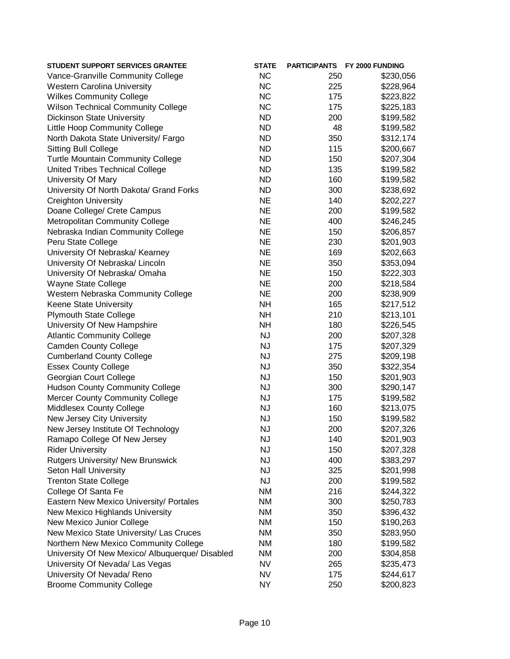| <b>STUDENT SUPPORT SERVICES GRANTEE</b>         | <b>STATE</b> |     | PARTICIPANTS FY 2000 FUNDING |
|-------------------------------------------------|--------------|-----|------------------------------|
| Vance-Granville Community College               | <b>NC</b>    | 250 | \$230,056                    |
| <b>Western Carolina University</b>              | <b>NC</b>    | 225 | \$228,964                    |
| <b>Wilkes Community College</b>                 | <b>NC</b>    | 175 | \$223,822                    |
| <b>Wilson Technical Community College</b>       | <b>NC</b>    | 175 | \$225,183                    |
| <b>Dickinson State University</b>               | <b>ND</b>    | 200 | \$199,582                    |
| Little Hoop Community College                   | <b>ND</b>    | 48  | \$199,582                    |
| North Dakota State University/ Fargo            | <b>ND</b>    | 350 | \$312,174                    |
| <b>Sitting Bull College</b>                     | <b>ND</b>    | 115 | \$200,667                    |
| <b>Turtle Mountain Community College</b>        | <b>ND</b>    | 150 | \$207,304                    |
| United Tribes Technical College                 | <b>ND</b>    | 135 | \$199,582                    |
| University Of Mary                              | <b>ND</b>    | 160 | \$199,582                    |
| University Of North Dakota/ Grand Forks         | <b>ND</b>    | 300 | \$238,692                    |
| <b>Creighton University</b>                     | <b>NE</b>    | 140 | \$202,227                    |
| Doane College/ Crete Campus                     | <b>NE</b>    | 200 | \$199,582                    |
| Metropolitan Community College                  | <b>NE</b>    | 400 | \$246,245                    |
| Nebraska Indian Community College               | <b>NE</b>    | 150 | \$206,857                    |
| Peru State College                              | <b>NE</b>    | 230 | \$201,903                    |
| University Of Nebraska/ Kearney                 | <b>NE</b>    | 169 | \$202,663                    |
| University Of Nebraska/ Lincoln                 | <b>NE</b>    | 350 | \$353,094                    |
| University Of Nebraska/ Omaha                   | <b>NE</b>    | 150 | \$222,303                    |
| Wayne State College                             | <b>NE</b>    | 200 | \$218,584                    |
| Western Nebraska Community College              | <b>NE</b>    | 200 | \$238,909                    |
| Keene State University                          | <b>NH</b>    | 165 | \$217,512                    |
| <b>Plymouth State College</b>                   | <b>NH</b>    | 210 | \$213,101                    |
| University Of New Hampshire                     | <b>NH</b>    | 180 | \$226,545                    |
| <b>Atlantic Community College</b>               | <b>NJ</b>    | 200 | \$207,328                    |
| <b>Camden County College</b>                    | <b>NJ</b>    | 175 | \$207,329                    |
| <b>Cumberland County College</b>                | <b>NJ</b>    | 275 | \$209,198                    |
| <b>Essex County College</b>                     | <b>NJ</b>    | 350 | \$322,354                    |
| Georgian Court College                          | <b>NJ</b>    | 150 | \$201,903                    |
| <b>Hudson County Community College</b>          | <b>NJ</b>    | 300 | \$290,147                    |
| <b>Mercer County Community College</b>          | <b>NJ</b>    | 175 | \$199,582                    |
| Middlesex County College                        | <b>NJ</b>    | 160 | \$213,075                    |
| New Jersey City University                      | <b>NJ</b>    | 150 | \$199,582                    |
| New Jersey Institute Of Technology              | NJ           | 200 | \$207,326                    |
| Ramapo College Of New Jersey                    | <b>NJ</b>    | 140 | \$201,903                    |
| <b>Rider University</b>                         | <b>NJ</b>    | 150 | \$207,328                    |
| <b>Rutgers University/ New Brunswick</b>        | <b>NJ</b>    | 400 | \$383,297                    |
| Seton Hall University                           | <b>NJ</b>    | 325 | \$201,998                    |
| <b>Trenton State College</b>                    | <b>NJ</b>    | 200 | \$199,582                    |
| College Of Santa Fe                             | <b>NM</b>    | 216 | \$244,322                    |
| Eastern New Mexico University/ Portales         | <b>NM</b>    | 300 | \$250,783                    |
| New Mexico Highlands University                 | <b>NM</b>    | 350 | \$396,432                    |
| New Mexico Junior College                       | <b>NM</b>    | 150 | \$190,263                    |
| New Mexico State University/ Las Cruces         | NM           | 350 | \$283,950                    |
| Northern New Mexico Community College           | NM           | 180 | \$199,582                    |
| University Of New Mexico/ Albuquerque/ Disabled | NM           | 200 | \$304,858                    |
| University Of Nevada/ Las Vegas                 | <b>NV</b>    | 265 | \$235,473                    |
| University Of Nevada/ Reno                      | <b>NV</b>    | 175 | \$244,617                    |
| <b>Broome Community College</b>                 | <b>NY</b>    | 250 | \$200,823                    |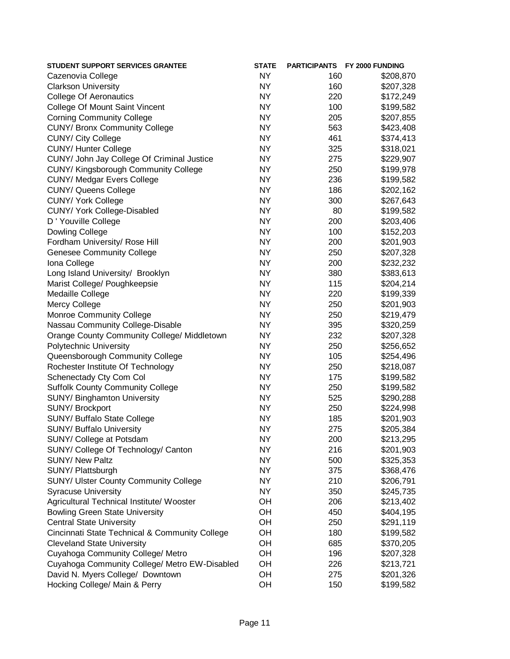| <b>STUDENT SUPPORT SERVICES GRANTEE</b>            | <b>STATE</b> |     | PARTICIPANTS FY 2000 FUNDING |
|----------------------------------------------------|--------------|-----|------------------------------|
| Cazenovia College                                  | NY           | 160 | \$208,870                    |
| <b>Clarkson University</b>                         | NY           | 160 | \$207,328                    |
| <b>College Of Aeronautics</b>                      | <b>NY</b>    | 220 | \$172,249                    |
| College Of Mount Saint Vincent                     | <b>NY</b>    | 100 | \$199,582                    |
| <b>Corning Community College</b>                   | <b>NY</b>    | 205 | \$207,855                    |
| <b>CUNY/ Bronx Community College</b>               | <b>NY</b>    | 563 | \$423,408                    |
| <b>CUNY/ City College</b>                          | <b>NY</b>    | 461 | \$374,413                    |
| <b>CUNY/ Hunter College</b>                        | <b>NY</b>    | 325 | \$318,021                    |
| CUNY/ John Jay College Of Criminal Justice         | <b>NY</b>    | 275 | \$229,907                    |
| CUNY/ Kingsborough Community College               | <b>NY</b>    | 250 | \$199,978                    |
| <b>CUNY/ Medgar Evers College</b>                  | <b>NY</b>    | 236 | \$199,582                    |
| <b>CUNY/ Queens College</b>                        | <b>NY</b>    | 186 | \$202,162                    |
| <b>CUNY/ York College</b>                          | <b>NY</b>    | 300 | \$267,643                    |
| CUNY/ York College-Disabled                        | <b>NY</b>    | 80  | \$199,582                    |
| D ' Youville College                               | <b>NY</b>    | 200 | \$203,406                    |
| <b>Dowling College</b>                             | <b>NY</b>    | 100 | \$152,203                    |
| Fordham University/ Rose Hill                      | <b>NY</b>    | 200 | \$201,903                    |
| <b>Genesee Community College</b>                   | <b>NY</b>    | 250 | \$207,328                    |
| Iona College                                       | <b>NY</b>    | 200 | \$232,232                    |
| Long Island University/ Brooklyn                   | <b>NY</b>    | 380 | \$383,613                    |
| Marist College/ Poughkeepsie                       | <b>NY</b>    | 115 | \$204,214                    |
| Medaille College                                   | <b>NY</b>    | 220 | \$199,339                    |
| <b>Mercy College</b>                               | <b>NY</b>    | 250 | \$201,903                    |
| <b>Monroe Community College</b>                    | <b>NY</b>    | 250 | \$219,479                    |
| Nassau Community College-Disable                   | <b>NY</b>    | 395 | \$320,259                    |
| <b>Orange County Community College/ Middletown</b> | <b>NY</b>    | 232 | \$207,328                    |
| Polytechnic University                             | <b>NY</b>    | 250 | \$256,652                    |
| Queensborough Community College                    | <b>NY</b>    | 105 | \$254,496                    |
| Rochester Institute Of Technology                  | <b>NY</b>    | 250 | \$218,087                    |
| Schenectady Cty Com Col                            | <b>NY</b>    | 175 | \$199,582                    |
| <b>Suffolk County Community College</b>            | <b>NY</b>    | 250 | \$199,582                    |
| SUNY/ Binghamton University                        | <b>NY</b>    | 525 | \$290,288                    |
| SUNY/ Brockport                                    | <b>NY</b>    | 250 | \$224,998                    |
| SUNY/ Buffalo State College                        | <b>NY</b>    | 185 | \$201,903                    |
| <b>SUNY/ Buffalo University</b>                    | <b>NY</b>    | 275 | \$205,384                    |
| SUNY/ College at Potsdam                           | NY.          | 200 | \$213,295                    |
| SUNY/ College Of Technology/ Canton                | <b>NY</b>    | 216 | \$201,903                    |
| <b>SUNY/ New Paltz</b>                             | <b>NY</b>    | 500 | \$325,353                    |
| SUNY/ Plattsburgh                                  | <b>NY</b>    | 375 | \$368,476                    |
| <b>SUNY/ Ulster County Community College</b>       | <b>NY</b>    | 210 | \$206,791                    |
| <b>Syracuse University</b>                         | <b>NY</b>    | 350 | \$245,735                    |
| Agricultural Technical Institute/ Wooster          | OH           | 206 | \$213,402                    |
| <b>Bowling Green State University</b>              | OH           | 450 | \$404,195                    |
| <b>Central State University</b>                    | OH           | 250 | \$291,119                    |
| Cincinnati State Technical & Community College     | OH           | 180 | \$199,582                    |
| <b>Cleveland State University</b>                  | OH           | 685 | \$370,205                    |
| Cuyahoga Community College/ Metro                  | OH           | 196 | \$207,328                    |
| Cuyahoga Community College/ Metro EW-Disabled      | OH           | 226 | \$213,721                    |
| David N. Myers College/ Downtown                   | OH           | 275 | \$201,326                    |
| Hocking College/ Main & Perry                      | OH           | 150 | \$199,582                    |
|                                                    |              |     |                              |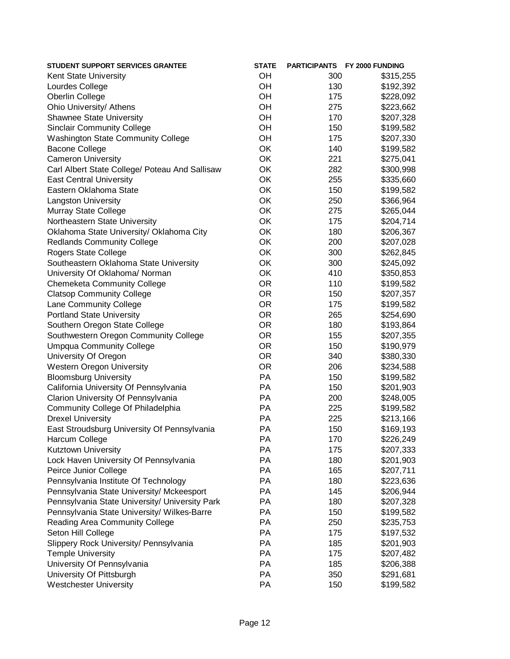| <b>STUDENT SUPPORT SERVICES GRANTEE</b>        | <b>STATE</b> |     | PARTICIPANTS FY 2000 FUNDING |
|------------------------------------------------|--------------|-----|------------------------------|
| Kent State University                          | OH           | 300 | \$315,255                    |
| Lourdes College                                | OH           | 130 | \$192,392                    |
| Oberlin College                                | OH           | 175 | \$228,092                    |
| Ohio University/ Athens                        | OH           | 275 | \$223,662                    |
| <b>Shawnee State University</b>                | OH           | 170 | \$207,328                    |
| <b>Sinclair Community College</b>              | OH           | 150 | \$199,582                    |
| <b>Washington State Community College</b>      | OH           | 175 | \$207,330                    |
| <b>Bacone College</b>                          | OK           | 140 | \$199,582                    |
| <b>Cameron University</b>                      | OK           | 221 | \$275,041                    |
| Carl Albert State College/ Poteau And Sallisaw | OK           | 282 | \$300,998                    |
| <b>East Central University</b>                 | OK           | 255 | \$335,660                    |
| Eastern Oklahoma State                         | OK           | 150 | \$199,582                    |
| <b>Langston University</b>                     | OK           | 250 | \$366,964                    |
| Murray State College                           | OK           | 275 | \$265,044                    |
| Northeastern State University                  | OK           | 175 | \$204,714                    |
| Oklahoma State University/ Oklahoma City       | OK           | 180 | \$206,367                    |
| <b>Redlands Community College</b>              | OK           | 200 | \$207,028                    |
| Rogers State College                           | OK           | 300 | \$262,845                    |
| Southeastern Oklahoma State University         | OK           | 300 | \$245,092                    |
| University Of Oklahoma/ Norman                 | OK           | 410 | \$350,853                    |
|                                                | <b>OR</b>    | 110 |                              |
| <b>Chemeketa Community College</b>             | <b>OR</b>    |     | \$199,582                    |
| <b>Clatsop Community College</b>               |              | 150 | \$207,357                    |
| Lane Community College                         | <b>OR</b>    | 175 | \$199,582                    |
| <b>Portland State University</b>               | <b>OR</b>    | 265 | \$254,690                    |
| Southern Oregon State College                  | <b>OR</b>    | 180 | \$193,864                    |
| Southwestern Oregon Community College          | <b>OR</b>    | 155 | \$207,355                    |
| <b>Umpqua Community College</b>                | <b>OR</b>    | 150 | \$190,979                    |
| University Of Oregon                           | <b>OR</b>    | 340 | \$380,330                    |
| <b>Western Oregon University</b>               | <b>OR</b>    | 206 | \$234,588                    |
| <b>Bloomsburg University</b>                   | <b>PA</b>    | 150 | \$199,582                    |
| California University Of Pennsylvania          | PA           | 150 | \$201,903                    |
| Clarion University Of Pennsylvania             | PA           | 200 | \$248,005                    |
| Community College Of Philadelphia              | <b>PA</b>    | 225 | \$199,582                    |
| <b>Drexel University</b>                       | <b>PA</b>    | 225 | \$213,166                    |
| East Stroudsburg University Of Pennsylvania    | PA           | 150 | \$169,193                    |
| Harcum College                                 | <b>PA</b>    | 170 | \$226,249                    |
| Kutztown University                            | PA           | 175 | \$207,333                    |
| Lock Haven University Of Pennsylvania          | PA           | 180 | \$201,903                    |
| Peirce Junior College                          | PA           | 165 | \$207,711                    |
| Pennsylvania Institute Of Technology           | PA           | 180 | \$223,636                    |
| Pennsylvania State University/ Mckeesport      | PA           | 145 | \$206,944                    |
| Pennsylvania State University/ University Park | PA           | 180 | \$207,328                    |
| Pennsylvania State University/ Wilkes-Barre    | PA           | 150 | \$199,582                    |
| Reading Area Community College                 | PA           | 250 | \$235,753                    |
| Seton Hill College                             | PA           | 175 | \$197,532                    |
| Slippery Rock University/ Pennsylvania         | PA           | 185 | \$201,903                    |
| <b>Temple University</b>                       | PA           | 175 | \$207,482                    |
| University Of Pennsylvania                     | PA           | 185 | \$206,388                    |
| University Of Pittsburgh                       | PA           | 350 | \$291,681                    |
| <b>Westchester University</b>                  | PA           | 150 | \$199,582                    |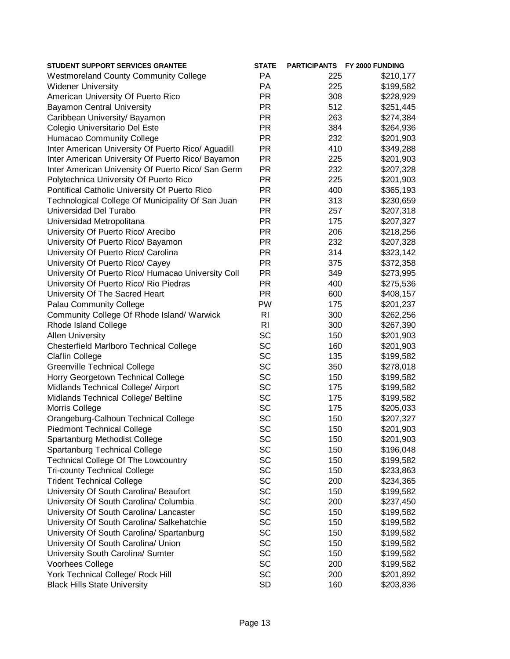| PA<br>225<br>\$210,177<br>PA<br>225<br><b>PR</b><br>308<br><b>PR</b><br>512<br><b>Bayamon Central University</b><br><b>PR</b><br>263<br>Caribbean University/ Bayamon<br><b>PR</b><br>Colegio Universitario Del Este<br>384<br><b>PR</b><br>Humacao Community College<br>232<br><b>PR</b><br>Inter American University Of Puerto Rico/ Aguadill<br>410<br><b>PR</b><br>Inter American University Of Puerto Rico/ Bayamon<br>225<br><b>PR</b><br>Inter American University Of Puerto Rico/ San Germ<br>232<br><b>PR</b><br>Polytechnica University Of Puerto Rico<br>225<br><b>PR</b><br>Pontifical Catholic University Of Puerto Rico<br>400<br><b>PR</b><br>Technological College Of Municipality Of San Juan<br>313<br><b>PR</b><br>257<br><b>PR</b><br>Universidad Metropolitana<br>175<br><b>PR</b><br>University Of Puerto Rico/ Arecibo<br>206<br><b>PR</b><br>University Of Puerto Rico/ Bayamon<br>232<br><b>PR</b><br>314<br>University Of Puerto Rico/ Carolina<br><b>PR</b><br>University Of Puerto Rico/ Cayey<br>375<br><b>PR</b><br>University Of Puerto Rico/ Humacao University Coll<br>349<br><b>PR</b><br>University Of Puerto Rico/ Rio Piedras<br>400<br><b>PR</b><br>University Of The Sacred Heart<br>600<br><b>Palau Community College</b><br>PW<br>175<br>R <sub>l</sub><br>Community College Of Rhode Island/ Warwick<br>300<br>R <sub>l</sub><br>Rhode Island College<br>300<br><b>SC</b><br><b>Allen University</b><br>150<br>SC<br><b>Chesterfield Marlboro Technical College</b><br>160<br>SC<br><b>Claflin College</b><br>135<br><b>SC</b><br><b>Greenville Technical College</b><br>350<br>SC<br>Horry Georgetown Technical College<br>150<br>SC<br>Midlands Technical College/ Airport<br>175<br>SC<br>Midlands Technical College/ Beltline<br>175<br>SC<br>Morris College<br>175<br>SC<br>Orangeburg-Calhoun Technical College<br>150<br>SC<br><b>Piedmont Technical College</b><br>150<br>\$201,903<br>SC<br>Spartanburg Methodist College<br>150<br>SC<br>Spartanburg Technical College<br>150<br>SC<br><b>Technical College Of The Lowcountry</b><br>150<br>SC<br><b>Tri-county Technical College</b><br>150<br>SC<br><b>Trident Technical College</b><br>200<br>SC<br>University Of South Carolina/ Beaufort<br>150<br>SC<br>University Of South Carolina/ Columbia<br>200<br>SC<br>University Of South Carolina/ Lancaster<br>150<br>SC<br>University Of South Carolina/ Salkehatchie<br>150<br>SC<br>University Of South Carolina/ Spartanburg<br>150<br>SC<br>University Of South Carolina/ Union<br>150<br>SC<br>University South Carolina/ Sumter<br>150<br>SC<br>Voorhees College<br>200<br>SC<br>York Technical College/ Rock Hill<br>200 | <b>STUDENT SUPPORT SERVICES GRANTEE</b>      | <b>STATE</b> |     | PARTICIPANTS FY 2000 FUNDING |
|---------------------------------------------------------------------------------------------------------------------------------------------------------------------------------------------------------------------------------------------------------------------------------------------------------------------------------------------------------------------------------------------------------------------------------------------------------------------------------------------------------------------------------------------------------------------------------------------------------------------------------------------------------------------------------------------------------------------------------------------------------------------------------------------------------------------------------------------------------------------------------------------------------------------------------------------------------------------------------------------------------------------------------------------------------------------------------------------------------------------------------------------------------------------------------------------------------------------------------------------------------------------------------------------------------------------------------------------------------------------------------------------------------------------------------------------------------------------------------------------------------------------------------------------------------------------------------------------------------------------------------------------------------------------------------------------------------------------------------------------------------------------------------------------------------------------------------------------------------------------------------------------------------------------------------------------------------------------------------------------------------------------------------------------------------------------------------------------------------------------------------------------------------------------------------------------------------------------------------------------------------------------------------------------------------------------------------------------------------------------------------------------------------------------------------------------------------------------------------------------------------------------------------------------------------------------------------------------------------------------------------------------------------------------------------------|----------------------------------------------|--------------|-----|------------------------------|
|                                                                                                                                                                                                                                                                                                                                                                                                                                                                                                                                                                                                                                                                                                                                                                                                                                                                                                                                                                                                                                                                                                                                                                                                                                                                                                                                                                                                                                                                                                                                                                                                                                                                                                                                                                                                                                                                                                                                                                                                                                                                                                                                                                                                                                                                                                                                                                                                                                                                                                                                                                                                                                                                                       | <b>Westmoreland County Community College</b> |              |     |                              |
| \$228,929<br>\$251,445<br>\$274,384<br>\$264,936<br>\$201,903<br>\$349,288<br>\$201,903<br>\$207,328<br>\$201,903<br>\$365,193<br>\$230,659<br>\$207,318<br>\$207,327<br>\$218,256<br>\$207,328<br>\$323,142<br>\$372,358<br>\$273,995<br>\$275,536<br>\$408,157<br>\$201,237<br>\$262,256<br>\$267,390<br>\$201,903<br>\$201,903<br>\$199,582<br>\$278,018<br>\$199,582<br>\$199,582<br>\$199,582<br>\$205,033<br>\$207,327<br>\$201,903<br>\$196,048<br>\$199,582<br>\$233,863<br>\$234,365<br>\$199,582<br>\$237,450<br>\$199,582<br>\$199,582<br>\$199,582<br>\$199,582<br>\$199,582<br>\$199,582<br>\$201,892                                                                                                                                                                                                                                                                                                                                                                                                                                                                                                                                                                                                                                                                                                                                                                                                                                                                                                                                                                                                                                                                                                                                                                                                                                                                                                                                                                                                                                                                                                                                                                                                                                                                                                                                                                                                                                                                                                                                                                                                                                                                    | <b>Widener University</b>                    |              |     | \$199,582                    |
|                                                                                                                                                                                                                                                                                                                                                                                                                                                                                                                                                                                                                                                                                                                                                                                                                                                                                                                                                                                                                                                                                                                                                                                                                                                                                                                                                                                                                                                                                                                                                                                                                                                                                                                                                                                                                                                                                                                                                                                                                                                                                                                                                                                                                                                                                                                                                                                                                                                                                                                                                                                                                                                                                       | American University Of Puerto Rico           |              |     |                              |
|                                                                                                                                                                                                                                                                                                                                                                                                                                                                                                                                                                                                                                                                                                                                                                                                                                                                                                                                                                                                                                                                                                                                                                                                                                                                                                                                                                                                                                                                                                                                                                                                                                                                                                                                                                                                                                                                                                                                                                                                                                                                                                                                                                                                                                                                                                                                                                                                                                                                                                                                                                                                                                                                                       |                                              |              |     |                              |
|                                                                                                                                                                                                                                                                                                                                                                                                                                                                                                                                                                                                                                                                                                                                                                                                                                                                                                                                                                                                                                                                                                                                                                                                                                                                                                                                                                                                                                                                                                                                                                                                                                                                                                                                                                                                                                                                                                                                                                                                                                                                                                                                                                                                                                                                                                                                                                                                                                                                                                                                                                                                                                                                                       |                                              |              |     |                              |
|                                                                                                                                                                                                                                                                                                                                                                                                                                                                                                                                                                                                                                                                                                                                                                                                                                                                                                                                                                                                                                                                                                                                                                                                                                                                                                                                                                                                                                                                                                                                                                                                                                                                                                                                                                                                                                                                                                                                                                                                                                                                                                                                                                                                                                                                                                                                                                                                                                                                                                                                                                                                                                                                                       |                                              |              |     |                              |
|                                                                                                                                                                                                                                                                                                                                                                                                                                                                                                                                                                                                                                                                                                                                                                                                                                                                                                                                                                                                                                                                                                                                                                                                                                                                                                                                                                                                                                                                                                                                                                                                                                                                                                                                                                                                                                                                                                                                                                                                                                                                                                                                                                                                                                                                                                                                                                                                                                                                                                                                                                                                                                                                                       |                                              |              |     |                              |
|                                                                                                                                                                                                                                                                                                                                                                                                                                                                                                                                                                                                                                                                                                                                                                                                                                                                                                                                                                                                                                                                                                                                                                                                                                                                                                                                                                                                                                                                                                                                                                                                                                                                                                                                                                                                                                                                                                                                                                                                                                                                                                                                                                                                                                                                                                                                                                                                                                                                                                                                                                                                                                                                                       |                                              |              |     |                              |
|                                                                                                                                                                                                                                                                                                                                                                                                                                                                                                                                                                                                                                                                                                                                                                                                                                                                                                                                                                                                                                                                                                                                                                                                                                                                                                                                                                                                                                                                                                                                                                                                                                                                                                                                                                                                                                                                                                                                                                                                                                                                                                                                                                                                                                                                                                                                                                                                                                                                                                                                                                                                                                                                                       |                                              |              |     |                              |
|                                                                                                                                                                                                                                                                                                                                                                                                                                                                                                                                                                                                                                                                                                                                                                                                                                                                                                                                                                                                                                                                                                                                                                                                                                                                                                                                                                                                                                                                                                                                                                                                                                                                                                                                                                                                                                                                                                                                                                                                                                                                                                                                                                                                                                                                                                                                                                                                                                                                                                                                                                                                                                                                                       |                                              |              |     |                              |
|                                                                                                                                                                                                                                                                                                                                                                                                                                                                                                                                                                                                                                                                                                                                                                                                                                                                                                                                                                                                                                                                                                                                                                                                                                                                                                                                                                                                                                                                                                                                                                                                                                                                                                                                                                                                                                                                                                                                                                                                                                                                                                                                                                                                                                                                                                                                                                                                                                                                                                                                                                                                                                                                                       |                                              |              |     |                              |
|                                                                                                                                                                                                                                                                                                                                                                                                                                                                                                                                                                                                                                                                                                                                                                                                                                                                                                                                                                                                                                                                                                                                                                                                                                                                                                                                                                                                                                                                                                                                                                                                                                                                                                                                                                                                                                                                                                                                                                                                                                                                                                                                                                                                                                                                                                                                                                                                                                                                                                                                                                                                                                                                                       |                                              |              |     |                              |
|                                                                                                                                                                                                                                                                                                                                                                                                                                                                                                                                                                                                                                                                                                                                                                                                                                                                                                                                                                                                                                                                                                                                                                                                                                                                                                                                                                                                                                                                                                                                                                                                                                                                                                                                                                                                                                                                                                                                                                                                                                                                                                                                                                                                                                                                                                                                                                                                                                                                                                                                                                                                                                                                                       |                                              |              |     |                              |
|                                                                                                                                                                                                                                                                                                                                                                                                                                                                                                                                                                                                                                                                                                                                                                                                                                                                                                                                                                                                                                                                                                                                                                                                                                                                                                                                                                                                                                                                                                                                                                                                                                                                                                                                                                                                                                                                                                                                                                                                                                                                                                                                                                                                                                                                                                                                                                                                                                                                                                                                                                                                                                                                                       | Universidad Del Turabo                       |              |     |                              |
|                                                                                                                                                                                                                                                                                                                                                                                                                                                                                                                                                                                                                                                                                                                                                                                                                                                                                                                                                                                                                                                                                                                                                                                                                                                                                                                                                                                                                                                                                                                                                                                                                                                                                                                                                                                                                                                                                                                                                                                                                                                                                                                                                                                                                                                                                                                                                                                                                                                                                                                                                                                                                                                                                       |                                              |              |     |                              |
|                                                                                                                                                                                                                                                                                                                                                                                                                                                                                                                                                                                                                                                                                                                                                                                                                                                                                                                                                                                                                                                                                                                                                                                                                                                                                                                                                                                                                                                                                                                                                                                                                                                                                                                                                                                                                                                                                                                                                                                                                                                                                                                                                                                                                                                                                                                                                                                                                                                                                                                                                                                                                                                                                       |                                              |              |     |                              |
|                                                                                                                                                                                                                                                                                                                                                                                                                                                                                                                                                                                                                                                                                                                                                                                                                                                                                                                                                                                                                                                                                                                                                                                                                                                                                                                                                                                                                                                                                                                                                                                                                                                                                                                                                                                                                                                                                                                                                                                                                                                                                                                                                                                                                                                                                                                                                                                                                                                                                                                                                                                                                                                                                       |                                              |              |     |                              |
|                                                                                                                                                                                                                                                                                                                                                                                                                                                                                                                                                                                                                                                                                                                                                                                                                                                                                                                                                                                                                                                                                                                                                                                                                                                                                                                                                                                                                                                                                                                                                                                                                                                                                                                                                                                                                                                                                                                                                                                                                                                                                                                                                                                                                                                                                                                                                                                                                                                                                                                                                                                                                                                                                       |                                              |              |     |                              |
|                                                                                                                                                                                                                                                                                                                                                                                                                                                                                                                                                                                                                                                                                                                                                                                                                                                                                                                                                                                                                                                                                                                                                                                                                                                                                                                                                                                                                                                                                                                                                                                                                                                                                                                                                                                                                                                                                                                                                                                                                                                                                                                                                                                                                                                                                                                                                                                                                                                                                                                                                                                                                                                                                       |                                              |              |     |                              |
|                                                                                                                                                                                                                                                                                                                                                                                                                                                                                                                                                                                                                                                                                                                                                                                                                                                                                                                                                                                                                                                                                                                                                                                                                                                                                                                                                                                                                                                                                                                                                                                                                                                                                                                                                                                                                                                                                                                                                                                                                                                                                                                                                                                                                                                                                                                                                                                                                                                                                                                                                                                                                                                                                       |                                              |              |     |                              |
|                                                                                                                                                                                                                                                                                                                                                                                                                                                                                                                                                                                                                                                                                                                                                                                                                                                                                                                                                                                                                                                                                                                                                                                                                                                                                                                                                                                                                                                                                                                                                                                                                                                                                                                                                                                                                                                                                                                                                                                                                                                                                                                                                                                                                                                                                                                                                                                                                                                                                                                                                                                                                                                                                       |                                              |              |     |                              |
|                                                                                                                                                                                                                                                                                                                                                                                                                                                                                                                                                                                                                                                                                                                                                                                                                                                                                                                                                                                                                                                                                                                                                                                                                                                                                                                                                                                                                                                                                                                                                                                                                                                                                                                                                                                                                                                                                                                                                                                                                                                                                                                                                                                                                                                                                                                                                                                                                                                                                                                                                                                                                                                                                       |                                              |              |     |                              |
|                                                                                                                                                                                                                                                                                                                                                                                                                                                                                                                                                                                                                                                                                                                                                                                                                                                                                                                                                                                                                                                                                                                                                                                                                                                                                                                                                                                                                                                                                                                                                                                                                                                                                                                                                                                                                                                                                                                                                                                                                                                                                                                                                                                                                                                                                                                                                                                                                                                                                                                                                                                                                                                                                       |                                              |              |     |                              |
|                                                                                                                                                                                                                                                                                                                                                                                                                                                                                                                                                                                                                                                                                                                                                                                                                                                                                                                                                                                                                                                                                                                                                                                                                                                                                                                                                                                                                                                                                                                                                                                                                                                                                                                                                                                                                                                                                                                                                                                                                                                                                                                                                                                                                                                                                                                                                                                                                                                                                                                                                                                                                                                                                       |                                              |              |     |                              |
|                                                                                                                                                                                                                                                                                                                                                                                                                                                                                                                                                                                                                                                                                                                                                                                                                                                                                                                                                                                                                                                                                                                                                                                                                                                                                                                                                                                                                                                                                                                                                                                                                                                                                                                                                                                                                                                                                                                                                                                                                                                                                                                                                                                                                                                                                                                                                                                                                                                                                                                                                                                                                                                                                       |                                              |              |     |                              |
|                                                                                                                                                                                                                                                                                                                                                                                                                                                                                                                                                                                                                                                                                                                                                                                                                                                                                                                                                                                                                                                                                                                                                                                                                                                                                                                                                                                                                                                                                                                                                                                                                                                                                                                                                                                                                                                                                                                                                                                                                                                                                                                                                                                                                                                                                                                                                                                                                                                                                                                                                                                                                                                                                       |                                              |              |     |                              |
|                                                                                                                                                                                                                                                                                                                                                                                                                                                                                                                                                                                                                                                                                                                                                                                                                                                                                                                                                                                                                                                                                                                                                                                                                                                                                                                                                                                                                                                                                                                                                                                                                                                                                                                                                                                                                                                                                                                                                                                                                                                                                                                                                                                                                                                                                                                                                                                                                                                                                                                                                                                                                                                                                       |                                              |              |     |                              |
|                                                                                                                                                                                                                                                                                                                                                                                                                                                                                                                                                                                                                                                                                                                                                                                                                                                                                                                                                                                                                                                                                                                                                                                                                                                                                                                                                                                                                                                                                                                                                                                                                                                                                                                                                                                                                                                                                                                                                                                                                                                                                                                                                                                                                                                                                                                                                                                                                                                                                                                                                                                                                                                                                       |                                              |              |     |                              |
|                                                                                                                                                                                                                                                                                                                                                                                                                                                                                                                                                                                                                                                                                                                                                                                                                                                                                                                                                                                                                                                                                                                                                                                                                                                                                                                                                                                                                                                                                                                                                                                                                                                                                                                                                                                                                                                                                                                                                                                                                                                                                                                                                                                                                                                                                                                                                                                                                                                                                                                                                                                                                                                                                       |                                              |              |     |                              |
|                                                                                                                                                                                                                                                                                                                                                                                                                                                                                                                                                                                                                                                                                                                                                                                                                                                                                                                                                                                                                                                                                                                                                                                                                                                                                                                                                                                                                                                                                                                                                                                                                                                                                                                                                                                                                                                                                                                                                                                                                                                                                                                                                                                                                                                                                                                                                                                                                                                                                                                                                                                                                                                                                       |                                              |              |     |                              |
|                                                                                                                                                                                                                                                                                                                                                                                                                                                                                                                                                                                                                                                                                                                                                                                                                                                                                                                                                                                                                                                                                                                                                                                                                                                                                                                                                                                                                                                                                                                                                                                                                                                                                                                                                                                                                                                                                                                                                                                                                                                                                                                                                                                                                                                                                                                                                                                                                                                                                                                                                                                                                                                                                       |                                              |              |     |                              |
|                                                                                                                                                                                                                                                                                                                                                                                                                                                                                                                                                                                                                                                                                                                                                                                                                                                                                                                                                                                                                                                                                                                                                                                                                                                                                                                                                                                                                                                                                                                                                                                                                                                                                                                                                                                                                                                                                                                                                                                                                                                                                                                                                                                                                                                                                                                                                                                                                                                                                                                                                                                                                                                                                       |                                              |              |     |                              |
|                                                                                                                                                                                                                                                                                                                                                                                                                                                                                                                                                                                                                                                                                                                                                                                                                                                                                                                                                                                                                                                                                                                                                                                                                                                                                                                                                                                                                                                                                                                                                                                                                                                                                                                                                                                                                                                                                                                                                                                                                                                                                                                                                                                                                                                                                                                                                                                                                                                                                                                                                                                                                                                                                       |                                              |              |     |                              |
|                                                                                                                                                                                                                                                                                                                                                                                                                                                                                                                                                                                                                                                                                                                                                                                                                                                                                                                                                                                                                                                                                                                                                                                                                                                                                                                                                                                                                                                                                                                                                                                                                                                                                                                                                                                                                                                                                                                                                                                                                                                                                                                                                                                                                                                                                                                                                                                                                                                                                                                                                                                                                                                                                       |                                              |              |     |                              |
|                                                                                                                                                                                                                                                                                                                                                                                                                                                                                                                                                                                                                                                                                                                                                                                                                                                                                                                                                                                                                                                                                                                                                                                                                                                                                                                                                                                                                                                                                                                                                                                                                                                                                                                                                                                                                                                                                                                                                                                                                                                                                                                                                                                                                                                                                                                                                                                                                                                                                                                                                                                                                                                                                       |                                              |              |     |                              |
|                                                                                                                                                                                                                                                                                                                                                                                                                                                                                                                                                                                                                                                                                                                                                                                                                                                                                                                                                                                                                                                                                                                                                                                                                                                                                                                                                                                                                                                                                                                                                                                                                                                                                                                                                                                                                                                                                                                                                                                                                                                                                                                                                                                                                                                                                                                                                                                                                                                                                                                                                                                                                                                                                       |                                              |              |     |                              |
|                                                                                                                                                                                                                                                                                                                                                                                                                                                                                                                                                                                                                                                                                                                                                                                                                                                                                                                                                                                                                                                                                                                                                                                                                                                                                                                                                                                                                                                                                                                                                                                                                                                                                                                                                                                                                                                                                                                                                                                                                                                                                                                                                                                                                                                                                                                                                                                                                                                                                                                                                                                                                                                                                       |                                              |              |     |                              |
|                                                                                                                                                                                                                                                                                                                                                                                                                                                                                                                                                                                                                                                                                                                                                                                                                                                                                                                                                                                                                                                                                                                                                                                                                                                                                                                                                                                                                                                                                                                                                                                                                                                                                                                                                                                                                                                                                                                                                                                                                                                                                                                                                                                                                                                                                                                                                                                                                                                                                                                                                                                                                                                                                       |                                              |              |     |                              |
|                                                                                                                                                                                                                                                                                                                                                                                                                                                                                                                                                                                                                                                                                                                                                                                                                                                                                                                                                                                                                                                                                                                                                                                                                                                                                                                                                                                                                                                                                                                                                                                                                                                                                                                                                                                                                                                                                                                                                                                                                                                                                                                                                                                                                                                                                                                                                                                                                                                                                                                                                                                                                                                                                       |                                              |              |     |                              |
|                                                                                                                                                                                                                                                                                                                                                                                                                                                                                                                                                                                                                                                                                                                                                                                                                                                                                                                                                                                                                                                                                                                                                                                                                                                                                                                                                                                                                                                                                                                                                                                                                                                                                                                                                                                                                                                                                                                                                                                                                                                                                                                                                                                                                                                                                                                                                                                                                                                                                                                                                                                                                                                                                       |                                              |              |     |                              |
|                                                                                                                                                                                                                                                                                                                                                                                                                                                                                                                                                                                                                                                                                                                                                                                                                                                                                                                                                                                                                                                                                                                                                                                                                                                                                                                                                                                                                                                                                                                                                                                                                                                                                                                                                                                                                                                                                                                                                                                                                                                                                                                                                                                                                                                                                                                                                                                                                                                                                                                                                                                                                                                                                       |                                              |              |     |                              |
|                                                                                                                                                                                                                                                                                                                                                                                                                                                                                                                                                                                                                                                                                                                                                                                                                                                                                                                                                                                                                                                                                                                                                                                                                                                                                                                                                                                                                                                                                                                                                                                                                                                                                                                                                                                                                                                                                                                                                                                                                                                                                                                                                                                                                                                                                                                                                                                                                                                                                                                                                                                                                                                                                       |                                              |              |     |                              |
|                                                                                                                                                                                                                                                                                                                                                                                                                                                                                                                                                                                                                                                                                                                                                                                                                                                                                                                                                                                                                                                                                                                                                                                                                                                                                                                                                                                                                                                                                                                                                                                                                                                                                                                                                                                                                                                                                                                                                                                                                                                                                                                                                                                                                                                                                                                                                                                                                                                                                                                                                                                                                                                                                       |                                              |              |     |                              |
|                                                                                                                                                                                                                                                                                                                                                                                                                                                                                                                                                                                                                                                                                                                                                                                                                                                                                                                                                                                                                                                                                                                                                                                                                                                                                                                                                                                                                                                                                                                                                                                                                                                                                                                                                                                                                                                                                                                                                                                                                                                                                                                                                                                                                                                                                                                                                                                                                                                                                                                                                                                                                                                                                       |                                              |              |     |                              |
|                                                                                                                                                                                                                                                                                                                                                                                                                                                                                                                                                                                                                                                                                                                                                                                                                                                                                                                                                                                                                                                                                                                                                                                                                                                                                                                                                                                                                                                                                                                                                                                                                                                                                                                                                                                                                                                                                                                                                                                                                                                                                                                                                                                                                                                                                                                                                                                                                                                                                                                                                                                                                                                                                       |                                              |              |     |                              |
|                                                                                                                                                                                                                                                                                                                                                                                                                                                                                                                                                                                                                                                                                                                                                                                                                                                                                                                                                                                                                                                                                                                                                                                                                                                                                                                                                                                                                                                                                                                                                                                                                                                                                                                                                                                                                                                                                                                                                                                                                                                                                                                                                                                                                                                                                                                                                                                                                                                                                                                                                                                                                                                                                       |                                              |              |     |                              |
|                                                                                                                                                                                                                                                                                                                                                                                                                                                                                                                                                                                                                                                                                                                                                                                                                                                                                                                                                                                                                                                                                                                                                                                                                                                                                                                                                                                                                                                                                                                                                                                                                                                                                                                                                                                                                                                                                                                                                                                                                                                                                                                                                                                                                                                                                                                                                                                                                                                                                                                                                                                                                                                                                       |                                              |              |     |                              |
|                                                                                                                                                                                                                                                                                                                                                                                                                                                                                                                                                                                                                                                                                                                                                                                                                                                                                                                                                                                                                                                                                                                                                                                                                                                                                                                                                                                                                                                                                                                                                                                                                                                                                                                                                                                                                                                                                                                                                                                                                                                                                                                                                                                                                                                                                                                                                                                                                                                                                                                                                                                                                                                                                       |                                              |              |     |                              |
|                                                                                                                                                                                                                                                                                                                                                                                                                                                                                                                                                                                                                                                                                                                                                                                                                                                                                                                                                                                                                                                                                                                                                                                                                                                                                                                                                                                                                                                                                                                                                                                                                                                                                                                                                                                                                                                                                                                                                                                                                                                                                                                                                                                                                                                                                                                                                                                                                                                                                                                                                                                                                                                                                       |                                              |              |     |                              |
|                                                                                                                                                                                                                                                                                                                                                                                                                                                                                                                                                                                                                                                                                                                                                                                                                                                                                                                                                                                                                                                                                                                                                                                                                                                                                                                                                                                                                                                                                                                                                                                                                                                                                                                                                                                                                                                                                                                                                                                                                                                                                                                                                                                                                                                                                                                                                                                                                                                                                                                                                                                                                                                                                       | <b>Black Hills State University</b>          | <b>SD</b>    | 160 | \$203,836                    |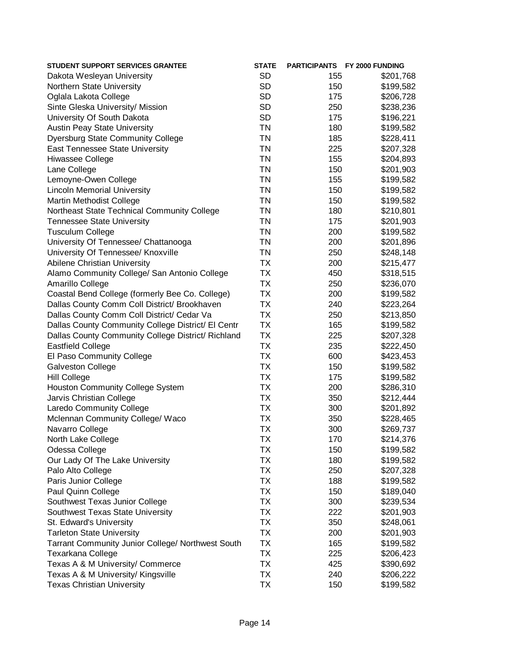| <b>STUDENT SUPPORT SERVICES GRANTEE</b>                  | <b>STATE</b> |     | PARTICIPANTS FY 2000 FUNDING |
|----------------------------------------------------------|--------------|-----|------------------------------|
| Dakota Wesleyan University                               | <b>SD</b>    | 155 | \$201,768                    |
| Northern State University                                | <b>SD</b>    | 150 | \$199,582                    |
| Oglala Lakota College                                    | <b>SD</b>    | 175 | \$206,728                    |
| Sinte Gleska University/ Mission                         | <b>SD</b>    | 250 | \$238,236                    |
| University Of South Dakota                               | <b>SD</b>    | 175 | \$196,221                    |
| <b>Austin Peay State University</b>                      | <b>TN</b>    | 180 | \$199,582                    |
| <b>Dyersburg State Community College</b>                 | <b>TN</b>    | 185 | \$228,411                    |
| East Tennessee State University                          | <b>TN</b>    | 225 | \$207,328                    |
| Hiwassee College                                         | <b>TN</b>    | 155 | \$204,893                    |
| Lane College                                             | <b>TN</b>    | 150 | \$201,903                    |
| Lemoyne-Owen College                                     | <b>TN</b>    | 155 | \$199,582                    |
| <b>Lincoln Memorial University</b>                       | <b>TN</b>    | 150 | \$199,582                    |
| Martin Methodist College                                 | <b>TN</b>    | 150 | \$199,582                    |
| Northeast State Technical Community College              | <b>TN</b>    | 180 | \$210,801                    |
| <b>Tennessee State University</b>                        | <b>TN</b>    | 175 | \$201,903                    |
| <b>Tusculum College</b>                                  | <b>TN</b>    | 200 | \$199,582                    |
| University Of Tennessee/ Chattanooga                     | <b>TN</b>    | 200 | \$201,896                    |
| University Of Tennessee/ Knoxville                       | <b>TN</b>    | 250 | \$248,148                    |
| Abilene Christian University                             | <b>TX</b>    | 200 | \$215,477                    |
| Alamo Community College/ San Antonio College             | <b>TX</b>    | 450 | \$318,515                    |
| Amarillo College                                         | <b>TX</b>    | 250 | \$236,070                    |
| Coastal Bend College (formerly Bee Co. College)          | <b>TX</b>    | 200 | \$199,582                    |
| Dallas County Comm Coll District/ Brookhaven             | <b>TX</b>    | 240 | \$223,264                    |
| Dallas County Comm Coll District/ Cedar Va               | <b>TX</b>    | 250 | \$213,850                    |
| Dallas County Community College District/ El Centr       | <b>TX</b>    | 165 | \$199,582                    |
| Dallas County Community College District/ Richland       | <b>TX</b>    | 225 | \$207,328                    |
| <b>Eastfield College</b>                                 | <b>TX</b>    | 235 | \$222,450                    |
| El Paso Community College                                | <b>TX</b>    | 600 | \$423,453                    |
| <b>Galveston College</b>                                 | <b>TX</b>    | 150 | \$199,582                    |
| <b>Hill College</b>                                      | <b>TX</b>    | 175 | \$199,582                    |
| Houston Community College System                         | <b>TX</b>    | 200 | \$286,310                    |
| Jarvis Christian College                                 | <b>TX</b>    | 350 | \$212,444                    |
| Laredo Community College                                 | <b>TX</b>    | 300 | \$201,892                    |
| Mclennan Community College/ Waco                         | <b>TX</b>    | 350 | \$228,465                    |
| Navarro College                                          | <b>TX</b>    | 300 | \$269,737                    |
| North Lake College                                       | TX           | 170 | \$214,376                    |
| Odessa College                                           | <b>TX</b>    | 150 | \$199,582                    |
| Our Lady Of The Lake University                          | <b>TX</b>    | 180 | \$199,582                    |
| Palo Alto College                                        | <b>TX</b>    | 250 | \$207,328                    |
| Paris Junior College                                     | <b>TX</b>    | 188 | \$199,582                    |
| Paul Quinn College                                       | <b>TX</b>    | 150 | \$189,040                    |
| Southwest Texas Junior College                           | <b>TX</b>    | 300 | \$239,534                    |
| Southwest Texas State University                         | <b>TX</b>    | 222 | \$201,903                    |
| St. Edward's University                                  | <b>TX</b>    | 350 | \$248,061                    |
| <b>Tarleton State University</b>                         | <b>TX</b>    | 200 | \$201,903                    |
| <b>Tarrant Community Junior College/ Northwest South</b> | <b>TX</b>    | 165 | \$199,582                    |
| Texarkana College                                        | <b>TX</b>    | 225 | \$206,423                    |
| Texas A & M University/ Commerce                         | <b>TX</b>    | 425 | \$390,692                    |
| Texas A & M University/ Kingsville                       | <b>TX</b>    | 240 | \$206,222                    |
| <b>Texas Christian University</b>                        | <b>TX</b>    | 150 | \$199,582                    |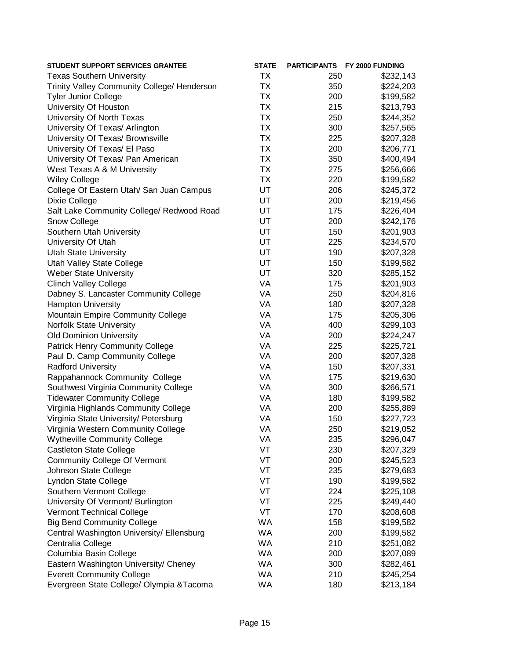| <b>TX</b><br><b>Texas Southern University</b><br>250<br>\$232,143<br><b>TX</b><br>Trinity Valley Community College/ Henderson<br>350<br>\$224,203<br><b>TX</b><br><b>Tyler Junior College</b><br>200<br>\$199,582<br><b>TX</b><br>University Of Houston<br>215<br>\$213,793<br><b>TX</b><br>University Of North Texas<br>250<br>\$244,352<br><b>TX</b><br>300<br>University Of Texas/ Arlington<br>\$257,565<br><b>TX</b><br>University Of Texas/ Brownsville<br>225<br>\$207,328<br><b>TX</b><br>University Of Texas/ El Paso<br>200<br>\$206,771<br><b>TX</b><br>University Of Texas/ Pan American<br>350<br>\$400,494<br><b>TX</b><br>West Texas A & M University<br>275<br>\$256,666<br><b>TX</b><br><b>Wiley College</b><br>220<br>\$199,582<br>UT<br>College Of Eastern Utah/ San Juan Campus<br>206<br>\$245,372<br>UT<br>Dixie College<br>200<br>\$219,456<br>UT<br>Salt Lake Community College/ Redwood Road<br>175<br>\$226,404<br>UT<br>Snow College<br>200<br>\$242,176<br>UT<br>Southern Utah University<br>150<br>\$201,903<br>UT<br>University Of Utah<br>225<br>\$234,570<br>UT<br><b>Utah State University</b><br>190<br>\$207,328<br>Utah Valley State College<br>UT<br>150<br>\$199,582<br><b>Weber State University</b><br>UT<br>320<br>\$285,152<br>VA<br><b>Clinch Valley College</b><br>175<br>\$201,903<br>Dabney S. Lancaster Community College<br>VA<br>250<br>\$204,816<br><b>Hampton University</b><br>VA<br>180<br>\$207,328<br>VA<br>Mountain Empire Community College<br>175<br>\$205,306<br>VA<br>Norfolk State University<br>400<br>\$299,103<br><b>Old Dominion University</b><br>VA<br>200<br>\$224,247<br>VA<br><b>Patrick Henry Community College</b><br>225<br>\$225,721<br>VA<br>Paul D. Camp Community College<br>200<br>\$207,328<br>VA<br><b>Radford University</b><br>150<br>\$207,331<br>VA<br>Rappahannock Community College<br>175<br>\$219,630<br>VA<br>Southwest Virginia Community College<br>300<br>\$266,571<br>VA<br><b>Tidewater Community College</b><br>180<br>\$199,582<br>Virginia Highlands Community College<br>VA<br>200<br>\$255,889<br>Virginia State University/ Petersburg<br>VA<br>150<br>\$227,723<br>VA<br>Virginia Western Community College<br>250<br>\$219,052<br><b>Wytheville Community College</b><br>VA<br>235<br>\$296,047<br>VT<br><b>Castleton State College</b><br>230<br>\$207,329<br>VT<br><b>Community College Of Vermont</b><br>200<br>\$245,523<br>VT<br>Johnson State College<br>235<br>\$279,683<br>VT<br>Lyndon State College<br>190<br>\$199,582<br>Southern Vermont College<br>VT<br>224<br>\$225,108<br>VT<br>University Of Vermont/ Burlington<br>225<br>\$249,440<br>VT<br><b>Vermont Technical College</b><br>170<br>\$208,608<br>WA<br><b>Big Bend Community College</b><br>158<br>\$199,582<br>WA<br>Central Washington University/ Ellensburg<br>200<br>\$199,582<br>WA<br>Centralia College<br>210<br>\$251,082<br>WA<br>Columbia Basin College<br>200<br>\$207,089<br>WA<br>Eastern Washington University/ Cheney<br>300<br>\$282,461<br>WA<br><b>Everett Community College</b><br>210<br>\$245,254<br>Evergreen State College/ Olympia & Tacoma<br>WA<br>180<br>\$213,184 | <b>STUDENT SUPPORT SERVICES GRANTEE</b> | <b>STATE</b> | <b>PARTICIPANTS</b> | <b>FY 2000 FUNDING</b> |
|-----------------------------------------------------------------------------------------------------------------------------------------------------------------------------------------------------------------------------------------------------------------------------------------------------------------------------------------------------------------------------------------------------------------------------------------------------------------------------------------------------------------------------------------------------------------------------------------------------------------------------------------------------------------------------------------------------------------------------------------------------------------------------------------------------------------------------------------------------------------------------------------------------------------------------------------------------------------------------------------------------------------------------------------------------------------------------------------------------------------------------------------------------------------------------------------------------------------------------------------------------------------------------------------------------------------------------------------------------------------------------------------------------------------------------------------------------------------------------------------------------------------------------------------------------------------------------------------------------------------------------------------------------------------------------------------------------------------------------------------------------------------------------------------------------------------------------------------------------------------------------------------------------------------------------------------------------------------------------------------------------------------------------------------------------------------------------------------------------------------------------------------------------------------------------------------------------------------------------------------------------------------------------------------------------------------------------------------------------------------------------------------------------------------------------------------------------------------------------------------------------------------------------------------------------------------------------------------------------------------------------------------------------------------------------------------------------------------------------------------------------------------------------------------------------------------------------------------------------------------------------------------------------------------------------------------------------------------------------------------------------------------------------------------------------------------------------------------------------------------------------------------------------------------------------|-----------------------------------------|--------------|---------------------|------------------------|
|                                                                                                                                                                                                                                                                                                                                                                                                                                                                                                                                                                                                                                                                                                                                                                                                                                                                                                                                                                                                                                                                                                                                                                                                                                                                                                                                                                                                                                                                                                                                                                                                                                                                                                                                                                                                                                                                                                                                                                                                                                                                                                                                                                                                                                                                                                                                                                                                                                                                                                                                                                                                                                                                                                                                                                                                                                                                                                                                                                                                                                                                                                                                                                             |                                         |              |                     |                        |
|                                                                                                                                                                                                                                                                                                                                                                                                                                                                                                                                                                                                                                                                                                                                                                                                                                                                                                                                                                                                                                                                                                                                                                                                                                                                                                                                                                                                                                                                                                                                                                                                                                                                                                                                                                                                                                                                                                                                                                                                                                                                                                                                                                                                                                                                                                                                                                                                                                                                                                                                                                                                                                                                                                                                                                                                                                                                                                                                                                                                                                                                                                                                                                             |                                         |              |                     |                        |
|                                                                                                                                                                                                                                                                                                                                                                                                                                                                                                                                                                                                                                                                                                                                                                                                                                                                                                                                                                                                                                                                                                                                                                                                                                                                                                                                                                                                                                                                                                                                                                                                                                                                                                                                                                                                                                                                                                                                                                                                                                                                                                                                                                                                                                                                                                                                                                                                                                                                                                                                                                                                                                                                                                                                                                                                                                                                                                                                                                                                                                                                                                                                                                             |                                         |              |                     |                        |
|                                                                                                                                                                                                                                                                                                                                                                                                                                                                                                                                                                                                                                                                                                                                                                                                                                                                                                                                                                                                                                                                                                                                                                                                                                                                                                                                                                                                                                                                                                                                                                                                                                                                                                                                                                                                                                                                                                                                                                                                                                                                                                                                                                                                                                                                                                                                                                                                                                                                                                                                                                                                                                                                                                                                                                                                                                                                                                                                                                                                                                                                                                                                                                             |                                         |              |                     |                        |
|                                                                                                                                                                                                                                                                                                                                                                                                                                                                                                                                                                                                                                                                                                                                                                                                                                                                                                                                                                                                                                                                                                                                                                                                                                                                                                                                                                                                                                                                                                                                                                                                                                                                                                                                                                                                                                                                                                                                                                                                                                                                                                                                                                                                                                                                                                                                                                                                                                                                                                                                                                                                                                                                                                                                                                                                                                                                                                                                                                                                                                                                                                                                                                             |                                         |              |                     |                        |
|                                                                                                                                                                                                                                                                                                                                                                                                                                                                                                                                                                                                                                                                                                                                                                                                                                                                                                                                                                                                                                                                                                                                                                                                                                                                                                                                                                                                                                                                                                                                                                                                                                                                                                                                                                                                                                                                                                                                                                                                                                                                                                                                                                                                                                                                                                                                                                                                                                                                                                                                                                                                                                                                                                                                                                                                                                                                                                                                                                                                                                                                                                                                                                             |                                         |              |                     |                        |
|                                                                                                                                                                                                                                                                                                                                                                                                                                                                                                                                                                                                                                                                                                                                                                                                                                                                                                                                                                                                                                                                                                                                                                                                                                                                                                                                                                                                                                                                                                                                                                                                                                                                                                                                                                                                                                                                                                                                                                                                                                                                                                                                                                                                                                                                                                                                                                                                                                                                                                                                                                                                                                                                                                                                                                                                                                                                                                                                                                                                                                                                                                                                                                             |                                         |              |                     |                        |
|                                                                                                                                                                                                                                                                                                                                                                                                                                                                                                                                                                                                                                                                                                                                                                                                                                                                                                                                                                                                                                                                                                                                                                                                                                                                                                                                                                                                                                                                                                                                                                                                                                                                                                                                                                                                                                                                                                                                                                                                                                                                                                                                                                                                                                                                                                                                                                                                                                                                                                                                                                                                                                                                                                                                                                                                                                                                                                                                                                                                                                                                                                                                                                             |                                         |              |                     |                        |
|                                                                                                                                                                                                                                                                                                                                                                                                                                                                                                                                                                                                                                                                                                                                                                                                                                                                                                                                                                                                                                                                                                                                                                                                                                                                                                                                                                                                                                                                                                                                                                                                                                                                                                                                                                                                                                                                                                                                                                                                                                                                                                                                                                                                                                                                                                                                                                                                                                                                                                                                                                                                                                                                                                                                                                                                                                                                                                                                                                                                                                                                                                                                                                             |                                         |              |                     |                        |
|                                                                                                                                                                                                                                                                                                                                                                                                                                                                                                                                                                                                                                                                                                                                                                                                                                                                                                                                                                                                                                                                                                                                                                                                                                                                                                                                                                                                                                                                                                                                                                                                                                                                                                                                                                                                                                                                                                                                                                                                                                                                                                                                                                                                                                                                                                                                                                                                                                                                                                                                                                                                                                                                                                                                                                                                                                                                                                                                                                                                                                                                                                                                                                             |                                         |              |                     |                        |
|                                                                                                                                                                                                                                                                                                                                                                                                                                                                                                                                                                                                                                                                                                                                                                                                                                                                                                                                                                                                                                                                                                                                                                                                                                                                                                                                                                                                                                                                                                                                                                                                                                                                                                                                                                                                                                                                                                                                                                                                                                                                                                                                                                                                                                                                                                                                                                                                                                                                                                                                                                                                                                                                                                                                                                                                                                                                                                                                                                                                                                                                                                                                                                             |                                         |              |                     |                        |
|                                                                                                                                                                                                                                                                                                                                                                                                                                                                                                                                                                                                                                                                                                                                                                                                                                                                                                                                                                                                                                                                                                                                                                                                                                                                                                                                                                                                                                                                                                                                                                                                                                                                                                                                                                                                                                                                                                                                                                                                                                                                                                                                                                                                                                                                                                                                                                                                                                                                                                                                                                                                                                                                                                                                                                                                                                                                                                                                                                                                                                                                                                                                                                             |                                         |              |                     |                        |
|                                                                                                                                                                                                                                                                                                                                                                                                                                                                                                                                                                                                                                                                                                                                                                                                                                                                                                                                                                                                                                                                                                                                                                                                                                                                                                                                                                                                                                                                                                                                                                                                                                                                                                                                                                                                                                                                                                                                                                                                                                                                                                                                                                                                                                                                                                                                                                                                                                                                                                                                                                                                                                                                                                                                                                                                                                                                                                                                                                                                                                                                                                                                                                             |                                         |              |                     |                        |
|                                                                                                                                                                                                                                                                                                                                                                                                                                                                                                                                                                                                                                                                                                                                                                                                                                                                                                                                                                                                                                                                                                                                                                                                                                                                                                                                                                                                                                                                                                                                                                                                                                                                                                                                                                                                                                                                                                                                                                                                                                                                                                                                                                                                                                                                                                                                                                                                                                                                                                                                                                                                                                                                                                                                                                                                                                                                                                                                                                                                                                                                                                                                                                             |                                         |              |                     |                        |
|                                                                                                                                                                                                                                                                                                                                                                                                                                                                                                                                                                                                                                                                                                                                                                                                                                                                                                                                                                                                                                                                                                                                                                                                                                                                                                                                                                                                                                                                                                                                                                                                                                                                                                                                                                                                                                                                                                                                                                                                                                                                                                                                                                                                                                                                                                                                                                                                                                                                                                                                                                                                                                                                                                                                                                                                                                                                                                                                                                                                                                                                                                                                                                             |                                         |              |                     |                        |
|                                                                                                                                                                                                                                                                                                                                                                                                                                                                                                                                                                                                                                                                                                                                                                                                                                                                                                                                                                                                                                                                                                                                                                                                                                                                                                                                                                                                                                                                                                                                                                                                                                                                                                                                                                                                                                                                                                                                                                                                                                                                                                                                                                                                                                                                                                                                                                                                                                                                                                                                                                                                                                                                                                                                                                                                                                                                                                                                                                                                                                                                                                                                                                             |                                         |              |                     |                        |
|                                                                                                                                                                                                                                                                                                                                                                                                                                                                                                                                                                                                                                                                                                                                                                                                                                                                                                                                                                                                                                                                                                                                                                                                                                                                                                                                                                                                                                                                                                                                                                                                                                                                                                                                                                                                                                                                                                                                                                                                                                                                                                                                                                                                                                                                                                                                                                                                                                                                                                                                                                                                                                                                                                                                                                                                                                                                                                                                                                                                                                                                                                                                                                             |                                         |              |                     |                        |
|                                                                                                                                                                                                                                                                                                                                                                                                                                                                                                                                                                                                                                                                                                                                                                                                                                                                                                                                                                                                                                                                                                                                                                                                                                                                                                                                                                                                                                                                                                                                                                                                                                                                                                                                                                                                                                                                                                                                                                                                                                                                                                                                                                                                                                                                                                                                                                                                                                                                                                                                                                                                                                                                                                                                                                                                                                                                                                                                                                                                                                                                                                                                                                             |                                         |              |                     |                        |
|                                                                                                                                                                                                                                                                                                                                                                                                                                                                                                                                                                                                                                                                                                                                                                                                                                                                                                                                                                                                                                                                                                                                                                                                                                                                                                                                                                                                                                                                                                                                                                                                                                                                                                                                                                                                                                                                                                                                                                                                                                                                                                                                                                                                                                                                                                                                                                                                                                                                                                                                                                                                                                                                                                                                                                                                                                                                                                                                                                                                                                                                                                                                                                             |                                         |              |                     |                        |
|                                                                                                                                                                                                                                                                                                                                                                                                                                                                                                                                                                                                                                                                                                                                                                                                                                                                                                                                                                                                                                                                                                                                                                                                                                                                                                                                                                                                                                                                                                                                                                                                                                                                                                                                                                                                                                                                                                                                                                                                                                                                                                                                                                                                                                                                                                                                                                                                                                                                                                                                                                                                                                                                                                                                                                                                                                                                                                                                                                                                                                                                                                                                                                             |                                         |              |                     |                        |
|                                                                                                                                                                                                                                                                                                                                                                                                                                                                                                                                                                                                                                                                                                                                                                                                                                                                                                                                                                                                                                                                                                                                                                                                                                                                                                                                                                                                                                                                                                                                                                                                                                                                                                                                                                                                                                                                                                                                                                                                                                                                                                                                                                                                                                                                                                                                                                                                                                                                                                                                                                                                                                                                                                                                                                                                                                                                                                                                                                                                                                                                                                                                                                             |                                         |              |                     |                        |
|                                                                                                                                                                                                                                                                                                                                                                                                                                                                                                                                                                                                                                                                                                                                                                                                                                                                                                                                                                                                                                                                                                                                                                                                                                                                                                                                                                                                                                                                                                                                                                                                                                                                                                                                                                                                                                                                                                                                                                                                                                                                                                                                                                                                                                                                                                                                                                                                                                                                                                                                                                                                                                                                                                                                                                                                                                                                                                                                                                                                                                                                                                                                                                             |                                         |              |                     |                        |
|                                                                                                                                                                                                                                                                                                                                                                                                                                                                                                                                                                                                                                                                                                                                                                                                                                                                                                                                                                                                                                                                                                                                                                                                                                                                                                                                                                                                                                                                                                                                                                                                                                                                                                                                                                                                                                                                                                                                                                                                                                                                                                                                                                                                                                                                                                                                                                                                                                                                                                                                                                                                                                                                                                                                                                                                                                                                                                                                                                                                                                                                                                                                                                             |                                         |              |                     |                        |
|                                                                                                                                                                                                                                                                                                                                                                                                                                                                                                                                                                                                                                                                                                                                                                                                                                                                                                                                                                                                                                                                                                                                                                                                                                                                                                                                                                                                                                                                                                                                                                                                                                                                                                                                                                                                                                                                                                                                                                                                                                                                                                                                                                                                                                                                                                                                                                                                                                                                                                                                                                                                                                                                                                                                                                                                                                                                                                                                                                                                                                                                                                                                                                             |                                         |              |                     |                        |
|                                                                                                                                                                                                                                                                                                                                                                                                                                                                                                                                                                                                                                                                                                                                                                                                                                                                                                                                                                                                                                                                                                                                                                                                                                                                                                                                                                                                                                                                                                                                                                                                                                                                                                                                                                                                                                                                                                                                                                                                                                                                                                                                                                                                                                                                                                                                                                                                                                                                                                                                                                                                                                                                                                                                                                                                                                                                                                                                                                                                                                                                                                                                                                             |                                         |              |                     |                        |
|                                                                                                                                                                                                                                                                                                                                                                                                                                                                                                                                                                                                                                                                                                                                                                                                                                                                                                                                                                                                                                                                                                                                                                                                                                                                                                                                                                                                                                                                                                                                                                                                                                                                                                                                                                                                                                                                                                                                                                                                                                                                                                                                                                                                                                                                                                                                                                                                                                                                                                                                                                                                                                                                                                                                                                                                                                                                                                                                                                                                                                                                                                                                                                             |                                         |              |                     |                        |
|                                                                                                                                                                                                                                                                                                                                                                                                                                                                                                                                                                                                                                                                                                                                                                                                                                                                                                                                                                                                                                                                                                                                                                                                                                                                                                                                                                                                                                                                                                                                                                                                                                                                                                                                                                                                                                                                                                                                                                                                                                                                                                                                                                                                                                                                                                                                                                                                                                                                                                                                                                                                                                                                                                                                                                                                                                                                                                                                                                                                                                                                                                                                                                             |                                         |              |                     |                        |
|                                                                                                                                                                                                                                                                                                                                                                                                                                                                                                                                                                                                                                                                                                                                                                                                                                                                                                                                                                                                                                                                                                                                                                                                                                                                                                                                                                                                                                                                                                                                                                                                                                                                                                                                                                                                                                                                                                                                                                                                                                                                                                                                                                                                                                                                                                                                                                                                                                                                                                                                                                                                                                                                                                                                                                                                                                                                                                                                                                                                                                                                                                                                                                             |                                         |              |                     |                        |
|                                                                                                                                                                                                                                                                                                                                                                                                                                                                                                                                                                                                                                                                                                                                                                                                                                                                                                                                                                                                                                                                                                                                                                                                                                                                                                                                                                                                                                                                                                                                                                                                                                                                                                                                                                                                                                                                                                                                                                                                                                                                                                                                                                                                                                                                                                                                                                                                                                                                                                                                                                                                                                                                                                                                                                                                                                                                                                                                                                                                                                                                                                                                                                             |                                         |              |                     |                        |
|                                                                                                                                                                                                                                                                                                                                                                                                                                                                                                                                                                                                                                                                                                                                                                                                                                                                                                                                                                                                                                                                                                                                                                                                                                                                                                                                                                                                                                                                                                                                                                                                                                                                                                                                                                                                                                                                                                                                                                                                                                                                                                                                                                                                                                                                                                                                                                                                                                                                                                                                                                                                                                                                                                                                                                                                                                                                                                                                                                                                                                                                                                                                                                             |                                         |              |                     |                        |
|                                                                                                                                                                                                                                                                                                                                                                                                                                                                                                                                                                                                                                                                                                                                                                                                                                                                                                                                                                                                                                                                                                                                                                                                                                                                                                                                                                                                                                                                                                                                                                                                                                                                                                                                                                                                                                                                                                                                                                                                                                                                                                                                                                                                                                                                                                                                                                                                                                                                                                                                                                                                                                                                                                                                                                                                                                                                                                                                                                                                                                                                                                                                                                             |                                         |              |                     |                        |
|                                                                                                                                                                                                                                                                                                                                                                                                                                                                                                                                                                                                                                                                                                                                                                                                                                                                                                                                                                                                                                                                                                                                                                                                                                                                                                                                                                                                                                                                                                                                                                                                                                                                                                                                                                                                                                                                                                                                                                                                                                                                                                                                                                                                                                                                                                                                                                                                                                                                                                                                                                                                                                                                                                                                                                                                                                                                                                                                                                                                                                                                                                                                                                             |                                         |              |                     |                        |
|                                                                                                                                                                                                                                                                                                                                                                                                                                                                                                                                                                                                                                                                                                                                                                                                                                                                                                                                                                                                                                                                                                                                                                                                                                                                                                                                                                                                                                                                                                                                                                                                                                                                                                                                                                                                                                                                                                                                                                                                                                                                                                                                                                                                                                                                                                                                                                                                                                                                                                                                                                                                                                                                                                                                                                                                                                                                                                                                                                                                                                                                                                                                                                             |                                         |              |                     |                        |
|                                                                                                                                                                                                                                                                                                                                                                                                                                                                                                                                                                                                                                                                                                                                                                                                                                                                                                                                                                                                                                                                                                                                                                                                                                                                                                                                                                                                                                                                                                                                                                                                                                                                                                                                                                                                                                                                                                                                                                                                                                                                                                                                                                                                                                                                                                                                                                                                                                                                                                                                                                                                                                                                                                                                                                                                                                                                                                                                                                                                                                                                                                                                                                             |                                         |              |                     |                        |
|                                                                                                                                                                                                                                                                                                                                                                                                                                                                                                                                                                                                                                                                                                                                                                                                                                                                                                                                                                                                                                                                                                                                                                                                                                                                                                                                                                                                                                                                                                                                                                                                                                                                                                                                                                                                                                                                                                                                                                                                                                                                                                                                                                                                                                                                                                                                                                                                                                                                                                                                                                                                                                                                                                                                                                                                                                                                                                                                                                                                                                                                                                                                                                             |                                         |              |                     |                        |
|                                                                                                                                                                                                                                                                                                                                                                                                                                                                                                                                                                                                                                                                                                                                                                                                                                                                                                                                                                                                                                                                                                                                                                                                                                                                                                                                                                                                                                                                                                                                                                                                                                                                                                                                                                                                                                                                                                                                                                                                                                                                                                                                                                                                                                                                                                                                                                                                                                                                                                                                                                                                                                                                                                                                                                                                                                                                                                                                                                                                                                                                                                                                                                             |                                         |              |                     |                        |
|                                                                                                                                                                                                                                                                                                                                                                                                                                                                                                                                                                                                                                                                                                                                                                                                                                                                                                                                                                                                                                                                                                                                                                                                                                                                                                                                                                                                                                                                                                                                                                                                                                                                                                                                                                                                                                                                                                                                                                                                                                                                                                                                                                                                                                                                                                                                                                                                                                                                                                                                                                                                                                                                                                                                                                                                                                                                                                                                                                                                                                                                                                                                                                             |                                         |              |                     |                        |
|                                                                                                                                                                                                                                                                                                                                                                                                                                                                                                                                                                                                                                                                                                                                                                                                                                                                                                                                                                                                                                                                                                                                                                                                                                                                                                                                                                                                                                                                                                                                                                                                                                                                                                                                                                                                                                                                                                                                                                                                                                                                                                                                                                                                                                                                                                                                                                                                                                                                                                                                                                                                                                                                                                                                                                                                                                                                                                                                                                                                                                                                                                                                                                             |                                         |              |                     |                        |
|                                                                                                                                                                                                                                                                                                                                                                                                                                                                                                                                                                                                                                                                                                                                                                                                                                                                                                                                                                                                                                                                                                                                                                                                                                                                                                                                                                                                                                                                                                                                                                                                                                                                                                                                                                                                                                                                                                                                                                                                                                                                                                                                                                                                                                                                                                                                                                                                                                                                                                                                                                                                                                                                                                                                                                                                                                                                                                                                                                                                                                                                                                                                                                             |                                         |              |                     |                        |
|                                                                                                                                                                                                                                                                                                                                                                                                                                                                                                                                                                                                                                                                                                                                                                                                                                                                                                                                                                                                                                                                                                                                                                                                                                                                                                                                                                                                                                                                                                                                                                                                                                                                                                                                                                                                                                                                                                                                                                                                                                                                                                                                                                                                                                                                                                                                                                                                                                                                                                                                                                                                                                                                                                                                                                                                                                                                                                                                                                                                                                                                                                                                                                             |                                         |              |                     |                        |
|                                                                                                                                                                                                                                                                                                                                                                                                                                                                                                                                                                                                                                                                                                                                                                                                                                                                                                                                                                                                                                                                                                                                                                                                                                                                                                                                                                                                                                                                                                                                                                                                                                                                                                                                                                                                                                                                                                                                                                                                                                                                                                                                                                                                                                                                                                                                                                                                                                                                                                                                                                                                                                                                                                                                                                                                                                                                                                                                                                                                                                                                                                                                                                             |                                         |              |                     |                        |
|                                                                                                                                                                                                                                                                                                                                                                                                                                                                                                                                                                                                                                                                                                                                                                                                                                                                                                                                                                                                                                                                                                                                                                                                                                                                                                                                                                                                                                                                                                                                                                                                                                                                                                                                                                                                                                                                                                                                                                                                                                                                                                                                                                                                                                                                                                                                                                                                                                                                                                                                                                                                                                                                                                                                                                                                                                                                                                                                                                                                                                                                                                                                                                             |                                         |              |                     |                        |
|                                                                                                                                                                                                                                                                                                                                                                                                                                                                                                                                                                                                                                                                                                                                                                                                                                                                                                                                                                                                                                                                                                                                                                                                                                                                                                                                                                                                                                                                                                                                                                                                                                                                                                                                                                                                                                                                                                                                                                                                                                                                                                                                                                                                                                                                                                                                                                                                                                                                                                                                                                                                                                                                                                                                                                                                                                                                                                                                                                                                                                                                                                                                                                             |                                         |              |                     |                        |
|                                                                                                                                                                                                                                                                                                                                                                                                                                                                                                                                                                                                                                                                                                                                                                                                                                                                                                                                                                                                                                                                                                                                                                                                                                                                                                                                                                                                                                                                                                                                                                                                                                                                                                                                                                                                                                                                                                                                                                                                                                                                                                                                                                                                                                                                                                                                                                                                                                                                                                                                                                                                                                                                                                                                                                                                                                                                                                                                                                                                                                                                                                                                                                             |                                         |              |                     |                        |
|                                                                                                                                                                                                                                                                                                                                                                                                                                                                                                                                                                                                                                                                                                                                                                                                                                                                                                                                                                                                                                                                                                                                                                                                                                                                                                                                                                                                                                                                                                                                                                                                                                                                                                                                                                                                                                                                                                                                                                                                                                                                                                                                                                                                                                                                                                                                                                                                                                                                                                                                                                                                                                                                                                                                                                                                                                                                                                                                                                                                                                                                                                                                                                             |                                         |              |                     |                        |
|                                                                                                                                                                                                                                                                                                                                                                                                                                                                                                                                                                                                                                                                                                                                                                                                                                                                                                                                                                                                                                                                                                                                                                                                                                                                                                                                                                                                                                                                                                                                                                                                                                                                                                                                                                                                                                                                                                                                                                                                                                                                                                                                                                                                                                                                                                                                                                                                                                                                                                                                                                                                                                                                                                                                                                                                                                                                                                                                                                                                                                                                                                                                                                             |                                         |              |                     |                        |
|                                                                                                                                                                                                                                                                                                                                                                                                                                                                                                                                                                                                                                                                                                                                                                                                                                                                                                                                                                                                                                                                                                                                                                                                                                                                                                                                                                                                                                                                                                                                                                                                                                                                                                                                                                                                                                                                                                                                                                                                                                                                                                                                                                                                                                                                                                                                                                                                                                                                                                                                                                                                                                                                                                                                                                                                                                                                                                                                                                                                                                                                                                                                                                             |                                         |              |                     |                        |
|                                                                                                                                                                                                                                                                                                                                                                                                                                                                                                                                                                                                                                                                                                                                                                                                                                                                                                                                                                                                                                                                                                                                                                                                                                                                                                                                                                                                                                                                                                                                                                                                                                                                                                                                                                                                                                                                                                                                                                                                                                                                                                                                                                                                                                                                                                                                                                                                                                                                                                                                                                                                                                                                                                                                                                                                                                                                                                                                                                                                                                                                                                                                                                             |                                         |              |                     |                        |
|                                                                                                                                                                                                                                                                                                                                                                                                                                                                                                                                                                                                                                                                                                                                                                                                                                                                                                                                                                                                                                                                                                                                                                                                                                                                                                                                                                                                                                                                                                                                                                                                                                                                                                                                                                                                                                                                                                                                                                                                                                                                                                                                                                                                                                                                                                                                                                                                                                                                                                                                                                                                                                                                                                                                                                                                                                                                                                                                                                                                                                                                                                                                                                             |                                         |              |                     |                        |
|                                                                                                                                                                                                                                                                                                                                                                                                                                                                                                                                                                                                                                                                                                                                                                                                                                                                                                                                                                                                                                                                                                                                                                                                                                                                                                                                                                                                                                                                                                                                                                                                                                                                                                                                                                                                                                                                                                                                                                                                                                                                                                                                                                                                                                                                                                                                                                                                                                                                                                                                                                                                                                                                                                                                                                                                                                                                                                                                                                                                                                                                                                                                                                             |                                         |              |                     |                        |